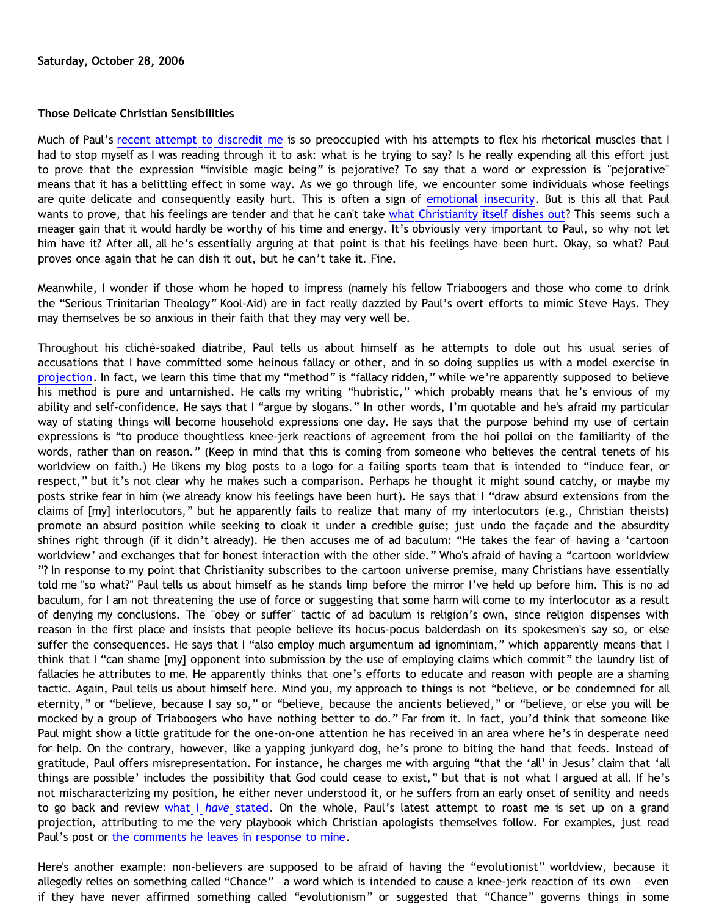### **Those Delicate Christian Sensibilities**

Much of Paul's [recent attempt to discredit me](http://triablogue.blogspot.com/2006/10/lucky-charms-atheology.html) is so preoccupied with his attempts to flex his rhetorical muscles that I had to stop myself as I was reading through it to ask: what is he trying to say? Is he really expending all this effort just to prove that the expression "invisible magic being" is pejorative? To say that a word or expression is "pejorative" means that it has a belittling effect in some way. As we go through life, we encounter some individuals whose feelings are quite delicate and consequently easily hurt. This is often a sign of [emotional insecurity](http://bahnsenburner.blogspot.com/2006/05/christian-insecurity-case-study.html). But is this all that Paul wants to prove, that his feelings are tender and that he can't take [what Christianity itself dishes out?](http://www.biblegateway.com/passage/?search=Psalm%2014:1;&version=9;) This seems such a meager gain that it would hardly be worthy of his time and energy. It's obviously very important to Paul, so why not let him have it? After all, all he's essentially arguing at that point is that his feelings have been hurt. Okay, so what? Paul proves once again that he can dish it out, but he can't take it. Fine.

Meanwhile, I wonder if those whom he hoped to impress (namely his fellow Triaboogers and those who come to drink the "Serious Trinitarian Theology" Kool-Aid) are in fact really dazzled by Paul's overt efforts to mimic Steve Hays. They may themselves be so anxious in their faith that they may very well be.

Throughout his cliché-soaked diatribe, Paul tells us about himself as he attempts to dole out his usual series of accusations that I have committed some heinous fallacy or other, and in so doing supplies us with a model exercise in [projection.](http://goosetheantithesis.blogspot.com/2005/10/moral-projection-in-christianity-part_07.html) In fact, we learn this time that my "method" is "fallacy ridden," while we're apparently supposed to believe his method is pure and untarnished. He calls my writing "hubristic," which probably means that he's envious of my ability and self-confidence. He says that I "argue by slogans." In other words, I'm quotable and he's afraid my particular way of stating things will become household expressions one day. He says that the purpose behind my use of certain expressions is "to produce thoughtless knee-jerk reactions of agreement from the hoi polloi on the familiarity of the words, rather than on reason." (Keep in mind that this is coming from someone who believes the central tenets of his worldview on faith.) He likens my blog posts to a logo for a failing sports team that is intended to "induce fear, or respect," but it's not clear why he makes such a comparison. Perhaps he thought it might sound catchy, or maybe my posts strike fear in him (we already know his feelings have been hurt). He says that I "draw absurd extensions from the claims of [my] interlocutors," but he apparently fails to realize that many of my interlocutors (e.g., Christian theists) promote an absurd position while seeking to cloak it under a credible guise; just undo the façade and the absurdity shines right through (if it didn't already). He then accuses me of ad baculum: "He takes the fear of having a 'cartoon worldview' and exchanges that for honest interaction with the other side." Who's afraid of having a "cartoon worldview "? In response to my point that Christianity subscribes to the cartoon universe premise, many Christians have essentially told me "so what?" Paul tells us about himself as he stands limp before the mirror I've held up before him. This is no ad baculum, for I am not threatening the use of force or suggesting that some harm will come to my interlocutor as a result of denying my conclusions. The "obey or suffer" tactic of ad baculum is religion's own, since religion dispenses with reason in the first place and insists that people believe its hocus-pocus balderdash on its spokesmen's say so, or else suffer the consequences. He says that I "also employ much argumentum ad ignominiam," which apparently means that I think that I "can shame [my] opponent into submission by the use of employing claims which commit" the laundry list of fallacies he attributes to me. He apparently thinks that one's efforts to educate and reason with people are a shaming tactic. Again, Paul tells us about himself here. Mind you, my approach to things is not "believe, or be condemned for all eternity," or "believe, because I say so," or "believe, because the ancients believed," or "believe, or else you will be mocked by a group of Triaboogers who have nothing better to do." Far from it. In fact, you'd think that someone like Paul might show a little gratitude for the one-on-one attention he has received in an area where he's in desperate need for help. On the contrary, however, like a yapping junkyard dog, he's prone to biting the hand that feeds. Instead of gratitude, Paul offers misrepresentation. For instance, he charges me with arguing "that the 'all' in Jesus' claim that 'all things are possible' includes the possibility that God could cease to exist," but that is not what I argued at all. If he's not mischaracterizing my position, he either never understood it, or he suffers from an early onset of senility and needs to go back and review [what I](http://bahnsenburner.blogspot.com/2005/09/is-contrary-to-christianity-truly.html) *[have](http://bahnsenburner.blogspot.com/2005/09/is-contrary-to-christianity-truly.html)* [stated](http://bahnsenburner.blogspot.com/2005/09/is-contrary-to-christianity-truly.html). On the whole, Paul's latest attempt to roast me is set up on a grand projection, attributing to me the very playbook which Christian apologists themselves follow. For examples, just read Paul's post or [the comments he leaves in response to mine](http://www.blogger.com/comment.g?blogID=11714522&postID=114308012369390861&isPopup=true).

Here's another example: non-believers are supposed to be afraid of having the "evolutionist" worldview, because it allegedly relies on something called "Chance" – a word which is intended to cause a knee-jerk reaction of its own – even if they have never affirmed something called "evolutionism" or suggested that "Chance" governs things in some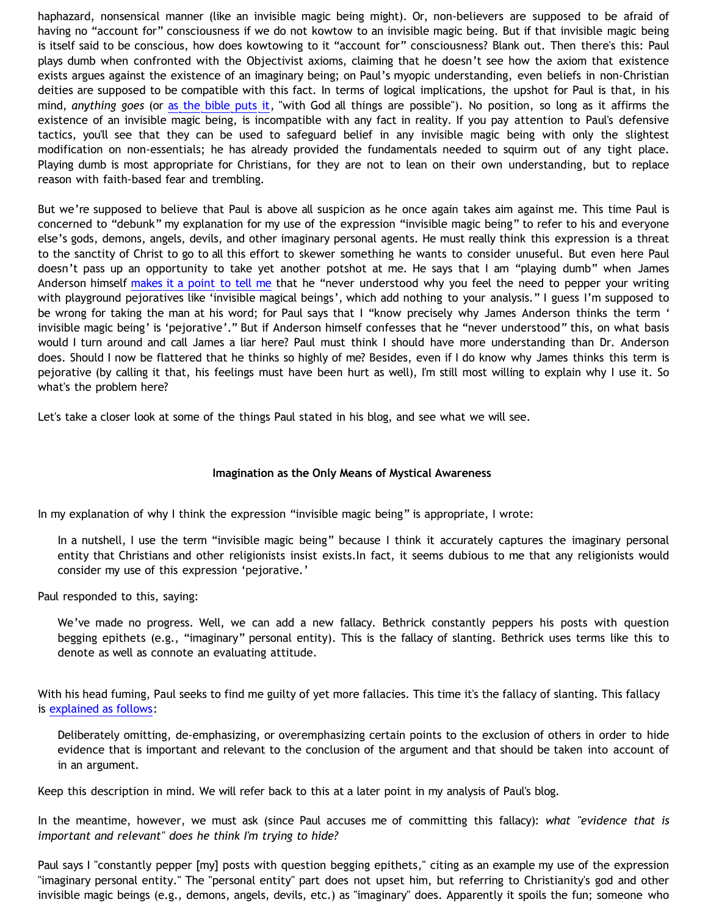haphazard, nonsensical manner (like an invisible magic being might). Or, non-believers are supposed to be afraid of having no "account for" consciousness if we do not kowtow to an invisible magic being. But if that invisible magic being is itself said to be conscious, how does kowtowing to it "account for" consciousness? Blank out. Then there's this: Paul plays dumb when confronted with the Objectivist axioms, claiming that he doesn't see how the axiom that existence exists argues against the existence of an imaginary being; on Paul's myopic understanding, even beliefs in non-Christian deities are supposed to be compatible with this fact. In terms of logical implications, the upshot for Paul is that, in his mind, *anything goes* (or [as the bible puts it,](http://www.biblegateway.com/passage/?search=Matthew%2019:26;&version=9;) "with God all things are possible"). No position, so long as it affirms the existence of an invisible magic being, is incompatible with any fact in reality. If you pay attention to Paul's defensive tactics, you'll see that they can be used to safeguard belief in any invisible magic being with only the slightest modification on non-essentials; he has already provided the fundamentals needed to squirm out of any tight place. Playing dumb is most appropriate for Christians, for they are not to lean on their own understanding, but to replace reason with faith-based fear and trembling.

But we're supposed to believe that Paul is above all suspicion as he once again takes aim against me. This time Paul is concerned to "debunk" my explanation for my use of the expression "invisible magic being" to refer to his and everyone else's gods, demons, angels, devils, and other imaginary personal agents. He must really think this expression is a threat to the sanctity of Christ to go to all this effort to skewer something he wants to consider unuseful. But even here Paul doesn't pass up an opportunity to take yet another potshot at me. He says that I am "playing dumb" when James Anderson himself [makes it a point to tell me](http://www.blogger.com/comment.g?blogID=11714522&postID=114308012369390861&isPopup=true) that he "never understood why you feel the need to pepper your writing with playground pejoratives like 'invisible magical beings', which add nothing to your analysis." I guess I'm supposed to be wrong for taking the man at his word; for Paul says that I "know precisely why James Anderson thinks the term ' invisible magic being' is 'pejorative'." But if Anderson himself confesses that he "never understood" this, on what basis would I turn around and call James a liar here? Paul must think I should have more understanding than Dr. Anderson does. Should I now be flattered that he thinks so highly of me? Besides, even if I do know why James thinks this term is pejorative (by calling it that, his feelings must have been hurt as well), I'm still most willing to explain why I use it. So what's the problem here?

Let's take a closer look at some of the things Paul stated in his blog, and see what we will see.

### **Imagination as the Only Means of Mystical Awareness**

In my explanation of why I think the expression "invisible magic being" is appropriate, I wrote:

In a nutshell, I use the term "invisible magic being" because I think it accurately captures the imaginary personal entity that Christians and other religionists insist exists.In fact, it seems dubious to me that any religionists would consider my use of this expression 'pejorative.'

Paul responded to this, saying:

We've made no progress. Well, we can add a new fallacy. Bethrick constantly peppers his posts with question begging epithets (e.g., "imaginary" personal entity). This is the fallacy of slanting. Bethrick uses terms like this to denote as well as connote an evaluating attitude.

With his head fuming, Paul seeks to find me guilty of yet more fallacies. This time it's the fallacy of slanting. This fallacy is [explained as follows:](http://wdv.com/Writings/Fallacies/index.html)

Deliberately omitting, de-emphasizing, or overemphasizing certain points to the exclusion of others in order to hide evidence that is important and relevant to the conclusion of the argument and that should be taken into account of in an argument.

Keep this description in mind. We will refer back to this at a later point in my analysis of Paul's blog.

In the meantime, however, we must ask (since Paul accuses me of committing this fallacy): *what "evidence that is important and relevant" does he think I'm trying to hide?*

Paul says I "constantly pepper [my] posts with question begging epithets," citing as an example my use of the expression "imaginary personal entity." The "personal entity" part does not upset him, but referring to Christianity's god and other invisible magic beings (e.g., demons, angels, devils, etc.) as "imaginary" does. Apparently it spoils the fun; someone who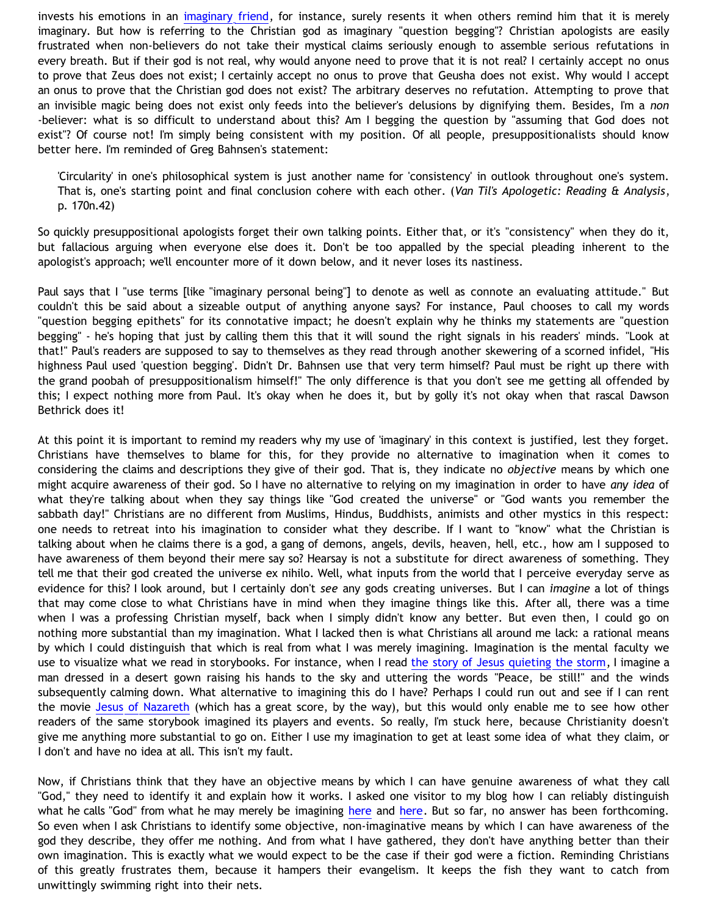invests his emotions in an [imaginary friend](http://bahnsenburner.blogspot.com/2006/08/christianity-imaginary-friends-network.html), for instance, surely resents it when others remind him that it is merely imaginary. But how is referring to the Christian god as imaginary "question begging"? Christian apologists are easily frustrated when non-believers do not take their mystical claims seriously enough to assemble serious refutations in every breath. But if their god is not real, why would anyone need to prove that it is not real? I certainly accept no onus to prove that Zeus does not exist; I certainly accept no onus to prove that Geusha does not exist. Why would I accept an onus to prove that the Christian god does not exist? The arbitrary deserves no refutation. Attempting to prove that an invisible magic being does not exist only feeds into the believer's delusions by dignifying them. Besides, I'm a *non* -believer: what is so difficult to understand about this? Am I begging the question by "assuming that God does not exist"? Of course not! I'm simply being consistent with my position. Of all people, presuppositionalists should know better here. I'm reminded of Greg Bahnsen's statement:

'Circularity' in one's philosophical system is just another name for 'consistency' in outlook throughout one's system. That is, one's starting point and final conclusion cohere with each other. (*Van Til's Apologetic: Reading & Analysis*, p. 170n.42)

So quickly presuppositional apologists forget their own talking points. Either that, or it's "consistency" when they do it, but fallacious arguing when everyone else does it. Don't be too appalled by the special pleading inherent to the apologist's approach; we'll encounter more of it down below, and it never loses its nastiness.

Paul says that I "use terms [like "imaginary personal being"] to denote as well as connote an evaluating attitude." But couldn't this be said about a sizeable output of anything anyone says? For instance, Paul chooses to call my words "question begging epithets" for its connotative impact; he doesn't explain why he thinks my statements are "question begging" - he's hoping that just by calling them this that it will sound the right signals in his readers' minds. "Look at that!" Paul's readers are supposed to say to themselves as they read through another skewering of a scorned infidel, "His highness Paul used 'question begging'. Didn't Dr. Bahnsen use that very term himself? Paul must be right up there with the grand poobah of presuppositionalism himself!" The only difference is that you don't see me getting all offended by this; I expect nothing more from Paul. It's okay when he does it, but by golly it's not okay when that rascal Dawson Bethrick does it!

At this point it is important to remind my readers why my use of 'imaginary' in this context is justified, lest they forget. Christians have themselves to blame for this, for they provide no alternative to imagination when it comes to considering the claims and descriptions they give of their god. That is, they indicate no *objective* means by which one might acquire awareness of their god. So I have no alternative to relying on my imagination in order to have *any idea* of what they're talking about when they say things like "God created the universe" or "God wants you remember the sabbath day!" Christians are no different from Muslims, Hindus, Buddhists, animists and other mystics in this respect: one needs to retreat into his imagination to consider what they describe. If I want to "know" what the Christian is talking about when he claims there is a god, a gang of demons, angels, devils, heaven, hell, etc., how am I supposed to have awareness of them beyond their mere say so? Hearsay is not a substitute for direct awareness of something. They tell me that their god created the universe ex nihilo. Well, what inputs from the world that I perceive everyday serve as evidence for this? I look around, but I certainly don't *see* any gods creating universes. But I can *imagine* a lot of things that may come close to what Christians have in mind when they imagine things like this. After all, there was a time when I was a professing Christian myself, back when I simply didn't know any better. But even then, I could go on nothing more substantial than my imagination. What I lacked then is what Christians all around me lack: a rational means by which I could distinguish that which is real from what I was merely imagining. Imagination is the mental faculty we use to visualize what we read in storybooks. For instance, when I read [the story of Jesus quieting the storm,](http://www.biblegateway.com/passage/?search=Mark%204:37-40;&version=9;) I imagine a man dressed in a desert gown raising his hands to the sky and uttering the words "Peace, be still!" and the winds subsequently calming down. What alternative to imagining this do I have? Perhaps I could run out and see if I can rent the movie [Jesus of Nazareth](http://www.imdb.com/title/tt0075520/) (which has a great score, by the way), but this would only enable me to see how other readers of the same storybook imagined its players and events. So really, I'm stuck here, because Christianity doesn't give me anything more substantial to go on. Either I use my imagination to get at least some idea of what they claim, or I don't and have no idea at all. This isn't my fault.

Now, if Christians think that they have an objective means by which I can have genuine awareness of what they call "God," they need to identify it and explain how it works. I asked one visitor to my blog how I can reliably distinguish what he calls "God" from what he may merely be imagining [here](http://bahnsenburner.blogspot.com/2006/07/responding-to-chris.html) and here. But so far, no answer has been forthcoming. So even when I ask Christians to identify some objective, non-imaginative means by which I can have awareness of the god they describe, they offer me nothing. And from what I have gathered, they don't have anything better than their own imagination. This is exactly what we would expect to be the case if their god were a fiction. Reminding Christians of this greatly frustrates them, because it hampers their evangelism. It keeps the fish they want to catch from unwittingly swimming right into their nets.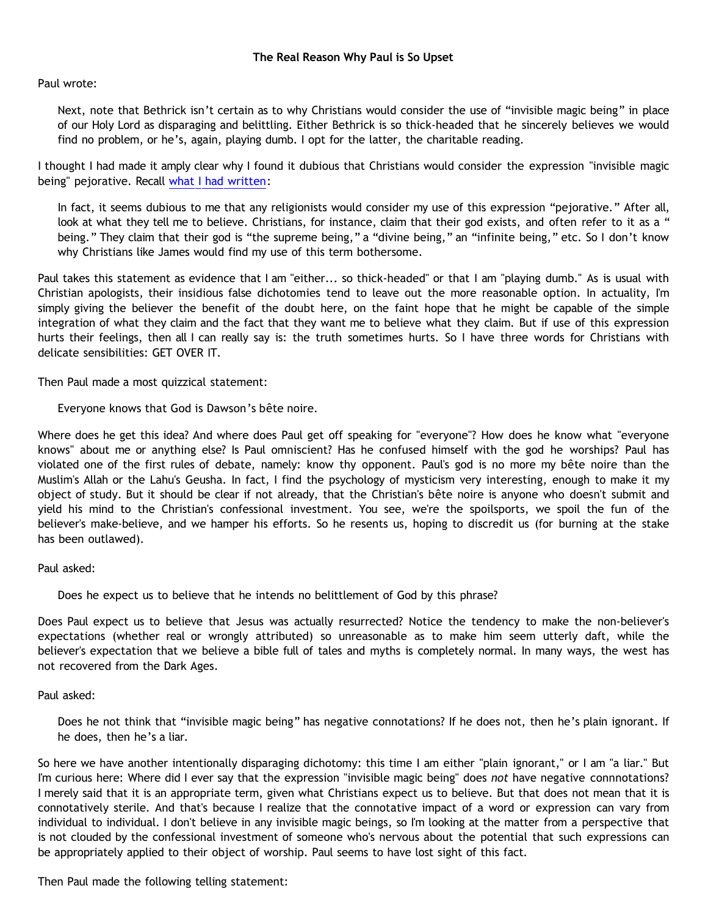# Paul wrote:

Next, note that Bethrick isn't certain as to why Christians would consider the use of "invisible magic being" in place of our Holy Lord as disparaging and belittling. Either Bethrick is so thick-headed that he sincerely believes we would find no problem, or he's, again, playing dumb. I opt for the latter, the charitable reading.

I thought I had made it amply clear why I found it dubious that Christians would consider the expression "invisible magic being" pejorative. Recall [what I had written:](http://bahnsenburner.blogspot.com/2006/10/is-expression-invisible-magic-being.html)

In fact, it seems dubious to me that any religionists would consider my use of this expression "pejorative." After all, look at what they tell me to believe. Christians, for instance, claim that their god exists, and often refer to it as a " being." They claim that their god is "the supreme being," a "divine being," an "infinite being," etc. So I don't know why Christians like James would find my use of this term bothersome.

Paul takes this statement as evidence that I am "either... so thick-headed" or that I am "playing dumb." As is usual with Christian apologists, their insidious false dichotomies tend to leave out the more reasonable option. In actuality, I'm simply giving the believer the benefit of the doubt here, on the faint hope that he might be capable of the simple integration of what they claim and the fact that they want me to believe what they claim. But if use of this expression hurts their feelings, then all I can really say is: the truth sometimes hurts. So I have three words for Christians with delicate sensibilities: GET OVER IT.

Then Paul made a most quizzical statement:

Everyone knows that God is Dawson's bête noire.

Where does he get this idea? And where does Paul get off speaking for "everyone"? How does he know what "everyone knows" about me or anything else? Is Paul omniscient? Has he confused himself with the god he worships? Paul has violated one of the first rules of debate, namely: know thy opponent. Paul's god is no more my bête noire than the Muslim's Allah or the Lahu's Geusha. In fact, I find the psychology of mysticism very interesting, enough to make it my object of study. But it should be clear if not already, that the Christian's bête noire is anyone who doesn't submit and yield his mind to the Christian's confessional investment. You see, we're the spoilsports, we spoil the fun of the believer's make-believe, and we hamper his efforts. So he resents us, hoping to discredit us (for burning at the stake has been outlawed).

# Paul asked:

Does he expect us to believe that he intends no belittlement of God by this phrase?

Does Paul expect us to believe that Jesus was actually resurrected? Notice the tendency to make the non-believer's expectations (whether real or wrongly attributed) so unreasonable as to make him seem utterly daft, while the believer's expectation that we believe a bible full of tales and myths is completely normal. In many ways, the west has not recovered from the Dark Ages.

### Paul asked:

Does he not think that "invisible magic being" has negative connotations? If he does not, then he's plain ignorant. If he does, then he's a liar.

So here we have another intentionally disparaging dichotomy: this time I am either "plain ignorant," or I am "a liar." But I'm curious here: Where did I ever say that the expression "invisible magic being" does *not* have negative connnotations? I merely said that it is an appropriate term, given what Christians expect us to believe. But that does not mean that it is connotatively sterile. And that's because I realize that the connotative impact of a word or expression can vary from individual to individual. I don't believe in any invisible magic beings, so I'm looking at the matter from a perspective that is not clouded by the confessional investment of someone who's nervous about the potential that such expressions can be appropriately applied to their object of worship. Paul seems to have lost sight of this fact.

Then Paul made the following telling statement: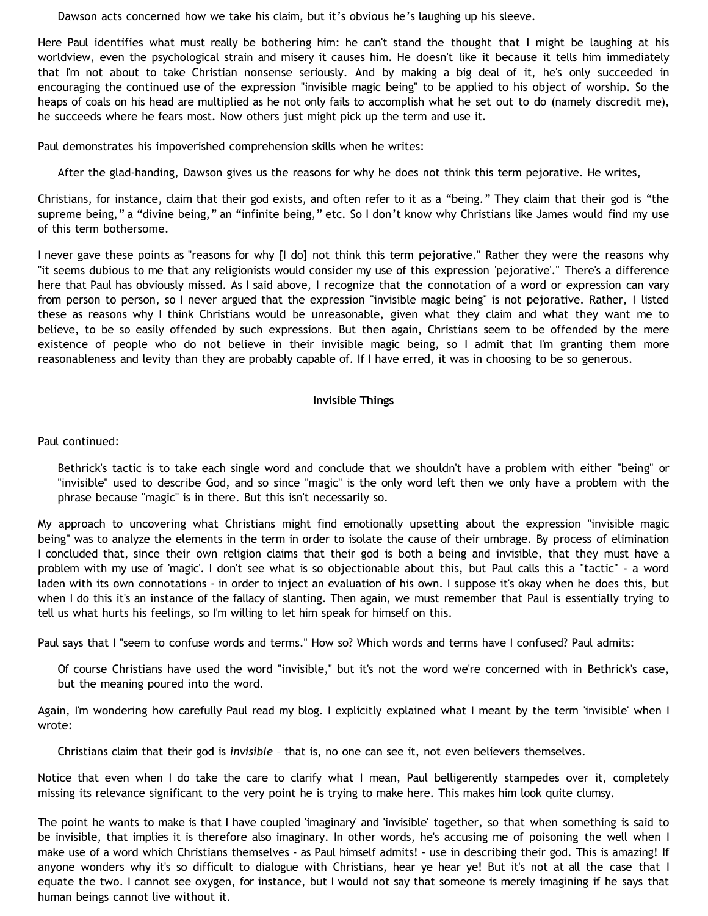Dawson acts concerned how we take his claim, but it's obvious he's laughing up his sleeve.

Here Paul identifies what must really be bothering him: he can't stand the thought that I might be laughing at his worldview, even the psychological strain and misery it causes him. He doesn't like it because it tells him immediately that I'm not about to take Christian nonsense seriously. And by making a big deal of it, he's only succeeded in encouraging the continued use of the expression "invisible magic being" to be applied to his object of worship. So the heaps of coals on his head are multiplied as he not only fails to accomplish what he set out to do (namely discredit me), he succeeds where he fears most. Now others just might pick up the term and use it.

Paul demonstrates his impoverished comprehension skills when he writes:

After the glad-handing, Dawson gives us the reasons for why he does not think this term pejorative. He writes,

Christians, for instance, claim that their god exists, and often refer to it as a "being." They claim that their god is "the supreme being," a "divine being," an "infinite being," etc. So I don't know why Christians like James would find my use of this term bothersome.

I never gave these points as "reasons for why [I do] not think this term pejorative." Rather they were the reasons why "it seems dubious to me that any religionists would consider my use of this expression 'pejorative'." There's a difference here that Paul has obviously missed. As I said above, I recognize that the connotation of a word or expression can vary from person to person, so I never argued that the expression "invisible magic being" is not pejorative. Rather, I listed these as reasons why I think Christians would be unreasonable, given what they claim and what they want me to believe, to be so easily offended by such expressions. But then again, Christians seem to be offended by the mere existence of people who do not believe in their invisible magic being, so I admit that I'm granting them more reasonableness and levity than they are probably capable of. If I have erred, it was in choosing to be so generous.

# **Invisible Things**

Paul continued:

Bethrick's tactic is to take each single word and conclude that we shouldn't have a problem with either "being" or "invisible" used to describe God, and so since "magic" is the only word left then we only have a problem with the phrase because "magic" is in there. But this isn't necessarily so.

My approach to uncovering what Christians might find emotionally upsetting about the expression "invisible magic being" was to analyze the elements in the term in order to isolate the cause of their umbrage. By process of elimination I concluded that, since their own religion claims that their god is both a being and invisible, that they must have a problem with my use of 'magic'. I don't see what is so objectionable about this, but Paul calls this a "tactic" - a word laden with its own connotations - in order to inject an evaluation of his own. I suppose it's okay when he does this, but when I do this it's an instance of the fallacy of slanting. Then again, we must remember that Paul is essentially trying to tell us what hurts his feelings, so I'm willing to let him speak for himself on this.

Paul says that I "seem to confuse words and terms." How so? Which words and terms have I confused? Paul admits:

Of course Christians have used the word "invisible," but it's not the word we're concerned with in Bethrick's case, but the meaning poured into the word.

Again, I'm wondering how carefully Paul read my blog. I explicitly explained what I meant by the term 'invisible' when I wrote:

Christians claim that their god is *invisible* – that is, no one can see it, not even believers themselves.

Notice that even when I do take the care to clarify what I mean, Paul belligerently stampedes over it, completely missing its relevance significant to the very point he is trying to make here. This makes him look quite clumsy.

The point he wants to make is that I have coupled 'imaginary' and 'invisible' together, so that when something is said to be invisible, that implies it is therefore also imaginary. In other words, he's accusing me of poisoning the well when I make use of a word which Christians themselves - as Paul himself admits! - use in describing their god. This is amazing! If anyone wonders why it's so difficult to dialogue with Christians, hear ye hear ye! But it's not at all the case that I equate the two. I cannot see oxygen, for instance, but I would not say that someone is merely imagining if he says that human beings cannot live without it.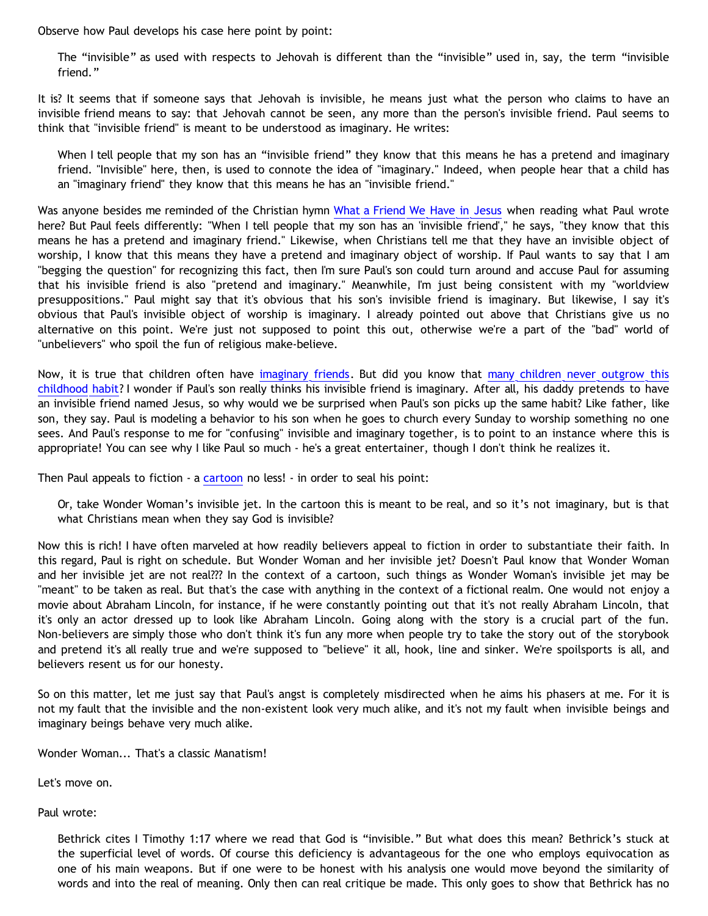Observe how Paul develops his case here point by point:

The "invisible" as used with respects to Jehovah is different than the "invisible" used in, say, the term "invisible friend."

It is? It seems that if someone says that Jehovah is invisible, he means just what the person who claims to have an invisible friend means to say: that Jehovah cannot be seen, any more than the person's invisible friend. Paul seems to think that "invisible friend" is meant to be understood as imaginary. He writes:

When I tell people that my son has an "invisible friend" they know that this means he has a pretend and imaginary friend. "Invisible" here, then, is used to connote the idea of "imaginary." Indeed, when people hear that a child has an "imaginary friend" they know that this means he has an "invisible friend."

Was anyone besides me reminded of the Christian hymn [What a Friend We Have in Jesus](http://www.hymnsite.com/lyrics/umh526.sht) when reading what Paul wrote here? But Paul feels differently: "When I tell people that my son has an 'invisible friend'," he says, "they know that this means he has a pretend and imaginary friend." Likewise, when Christians tell me that they have an invisible object of worship, I know that this means they have a pretend and imaginary object of worship. If Paul wants to say that I am "begging the question" for recognizing this fact, then I'm sure Paul's son could turn around and accuse Paul for assuming that his invisible friend is also "pretend and imaginary." Meanwhile, I'm just being consistent with my "worldview presuppositions." Paul might say that it's obvious that his son's invisible friend is imaginary. But likewise, I say it's obvious that Paul's invisible object of worship is imaginary. I already pointed out above that Christians give us no alternative on this point. We're just not supposed to point this out, otherwise we're a part of the "bad" world of "unbelievers" who spoil the fun of religious make-believe.

Now, it is true that children often have [imaginary friends.](http://www.invisies.com/) But did you know that [many children never outgrow this](http://bahnsenburner.blogspot.com/2006/08/christianity-imaginary-friends-network.html) [childhood habit](http://bahnsenburner.blogspot.com/2006/08/christianity-imaginary-friends-network.html)? I wonder if Paul's son really thinks his invisible friend is imaginary. After all, his daddy pretends to have an invisible friend named Jesus, so why would we be surprised when Paul's son picks up the same habit? Like father, like son, they say. Paul is modeling a behavior to his son when he goes to church every Sunday to worship something no one sees. And Paul's response to me for "confusing" invisible and imaginary together, is to point to an instance where this is appropriate! You can see why I like Paul so much - he's a great entertainer, though I don't think he realizes it.

Then Paul appeals to fiction - a [cartoon](http://www.strongatheism.net/library/atheology/cartoon_universe_of_theism/) no less! - in order to seal his point:

Or, take Wonder Woman's invisible jet. In the cartoon this is meant to be real, and so it's not imaginary, but is that what Christians mean when they say God is invisible?

Now this is rich! I have often marveled at how readily believers appeal to fiction in order to substantiate their faith. In this regard, Paul is right on schedule. But Wonder Woman and her invisible jet? Doesn't Paul know that Wonder Woman and her invisible jet are not real??? In the context of a cartoon, such things as Wonder Woman's invisible jet may be "meant" to be taken as real. But that's the case with anything in the context of a fictional realm. One would not enjoy a movie about Abraham Lincoln, for instance, if he were constantly pointing out that it's not really Abraham Lincoln, that it's only an actor dressed up to look like Abraham Lincoln. Going along with the story is a crucial part of the fun. Non-believers are simply those who don't think it's fun any more when people try to take the story out of the storybook and pretend it's all really true and we're supposed to "believe" it all, hook, line and sinker. We're spoilsports is all, and believers resent us for our honesty.

So on this matter, let me just say that Paul's angst is completely misdirected when he aims his phasers at me. For it is not my fault that the invisible and the non-existent look very much alike, and it's not my fault when invisible beings and imaginary beings behave very much alike.

Wonder Woman... That's a classic Manatism!

Let's move on.

Paul wrote:

Bethrick cites I Timothy 1:17 where we read that God is "invisible." But what does this mean? Bethrick's stuck at the superficial level of words. Of course this deficiency is advantageous for the one who employs equivocation as one of his main weapons. But if one were to be honest with his analysis one would move beyond the similarity of words and into the real of meaning. Only then can real critique be made. This only goes to show that Bethrick has no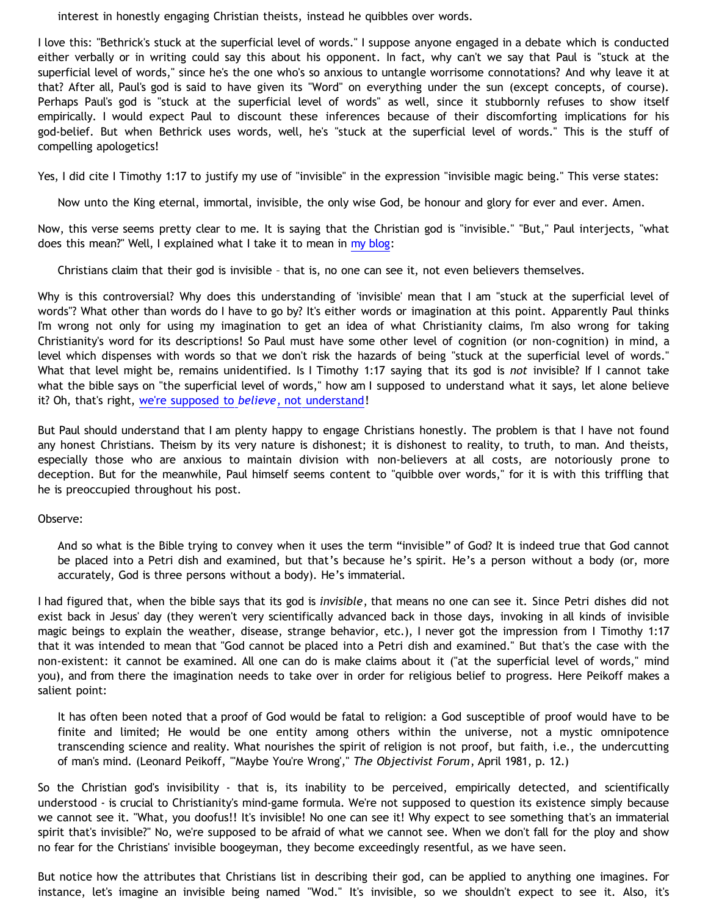interest in honestly engaging Christian theists, instead he quibbles over words.

I love this: "Bethrick's stuck at the superficial level of words." I suppose anyone engaged in a debate which is conducted either verbally or in writing could say this about his opponent. In fact, why can't we say that Paul is "stuck at the superficial level of words," since he's the one who's so anxious to untangle worrisome connotations? And why leave it at that? After all, Paul's god is said to have given its "Word" on everything under the sun (except concepts, of course). Perhaps Paul's god is "stuck at the superficial level of words" as well, since it stubbornly refuses to show itself empirically. I would expect Paul to discount these inferences because of their discomforting implications for his god-belief. But when Bethrick uses words, well, he's "stuck at the superficial level of words." This is the stuff of compelling apologetics!

Yes, I did cite I Timothy 1:17 to justify my use of "invisible" in the expression "invisible magic being." This verse states:

Now unto the King eternal, immortal, invisible, the only wise God, be honour and glory for ever and ever. Amen.

Now, this verse seems pretty clear to me. It is saying that the Christian god is "invisible." "But," Paul interjects, "what does this mean?" Well, I explained what I take it to mean in [my blog:](http://bahnsenburner.blogspot.com/2006/10/is-expression-invisible-magic-being.html)

Christians claim that their god is invisible – that is, no one can see it, not even believers themselves.

Why is this controversial? Why does this understanding of 'invisible' mean that I am "stuck at the superficial level of words"? What other than words do I have to go by? It's either words or imagination at this point. Apparently Paul thinks I'm wrong not only for using my imagination to get an idea of what Christianity claims, I'm also wrong for taking Christianity's word for its descriptions! So Paul must have some other level of cognition (or non-cognition) in mind, a level which dispenses with words so that we don't risk the hazards of being "stuck at the superficial level of words." What that level might be, remains unidentified. Is I Timothy 1:17 saying that its god is *not* invisible? If I cannot take what the bible says on "the superficial level of words," how am I supposed to understand what it says, let alone believe it? Oh, that's right, [we're supposed to](http://www.biblegateway.com/passage/?search=Proverbs%203:5;&version=9;) *[believe](http://www.biblegateway.com/passage/?search=Proverbs%203:5;&version=9;)*[, not understand!](http://www.biblegateway.com/passage/?search=Proverbs%203:5;&version=9;)

But Paul should understand that I am plenty happy to engage Christians honestly. The problem is that I have not found any honest Christians. Theism by its very nature is dishonest; it is dishonest to reality, to truth, to man. And theists, especially those who are anxious to maintain division with non-believers at all costs, are notoriously prone to deception. But for the meanwhile, Paul himself seems content to "quibble over words," for it is with this triffling that he is preoccupied throughout his post.

### Observe:

And so what is the Bible trying to convey when it uses the term "invisible" of God? It is indeed true that God cannot be placed into a Petri dish and examined, but that's because he's spirit. He's a person without a body (or, more accurately, God is three persons without a body). He's immaterial.

I had figured that, when the bible says that its god is *invisible*, that means no one can see it. Since Petri dishes did not exist back in Jesus' day (they weren't very scientifically advanced back in those days, invoking in all kinds of invisible magic beings to explain the weather, disease, strange behavior, etc.), I never got the impression from I Timothy 1:17 that it was intended to mean that "God cannot be placed into a Petri dish and examined." But that's the case with the non-existent: it cannot be examined. All one can do is make claims about it ("at the superficial level of words," mind you), and from there the imagination needs to take over in order for religious belief to progress. Here Peikoff makes a salient point:

It has often been noted that a proof of God would be fatal to religion: a God susceptible of proof would have to be finite and limited; He would be one entity among others within the universe, not a mystic omnipotence transcending science and reality. What nourishes the spirit of religion is not proof, but faith, i.e., the undercutting of man's mind. (Leonard Peikoff, "'Maybe You're Wrong'," *The Objectivist Forum*, April 1981, p. 12.)

So the Christian god's invisibility - that is, its inability to be perceived, empirically detected, and scientifically understood - is crucial to Christianity's mind-game formula. We're not supposed to question its existence simply because we cannot see it. "What, you doofus!! It's invisible! No one can see it! Why expect to see something that's an immaterial spirit that's invisible?" No, we're supposed to be afraid of what we cannot see. When we don't fall for the ploy and show no fear for the Christians' invisible boogeyman, they become exceedingly resentful, as we have seen.

But notice how the attributes that Christians list in describing their god, can be applied to anything one imagines. For instance, let's imagine an invisible being named "Wod." It's invisible, so we shouldn't expect to see it. Also, it's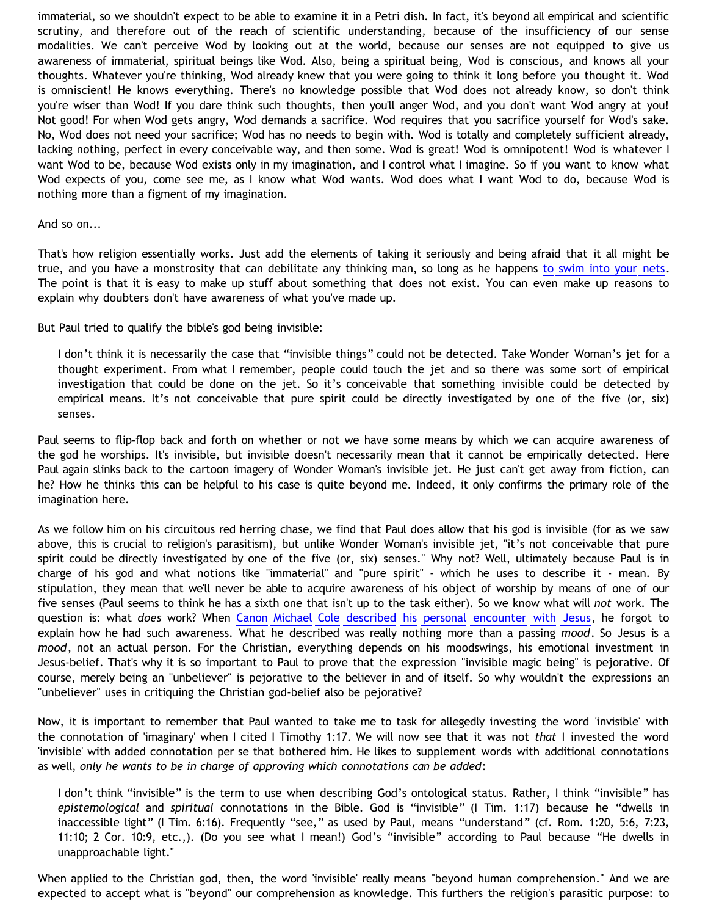immaterial, so we shouldn't expect to be able to examine it in a Petri dish. In fact, it's beyond all empirical and scientific scrutiny, and therefore out of the reach of scientific understanding, because of the insufficiency of our sense modalities. We can't perceive Wod by looking out at the world, because our senses are not equipped to give us awareness of immaterial, spiritual beings like Wod. Also, being a spiritual being, Wod is conscious, and knows all your thoughts. Whatever you're thinking, Wod already knew that you were going to think it long before you thought it. Wod is omniscient! He knows everything. There's no knowledge possible that Wod does not already know, so don't think you're wiser than Wod! If you dare think such thoughts, then you'll anger Wod, and you don't want Wod angry at you! Not good! For when Wod gets angry, Wod demands a sacrifice. Wod requires that you sacrifice yourself for Wod's sake. No, Wod does not need your sacrifice; Wod has no needs to begin with. Wod is totally and completely sufficient already, lacking nothing, perfect in every conceivable way, and then some. Wod is great! Wod is omnipotent! Wod is whatever I want Wod to be, because Wod exists only in my imagination, and I control what I imagine. So if you want to know what Wod expects of you, come see me, as I know what Wod wants. Wod does what I want Wod to do, because Wod is nothing more than a figment of my imagination.

#### And so on...

That's how religion essentially works. Just add the elements of taking it seriously and being afraid that it all might be true, and you have a monstrosity that can debilitate any thinking man, so long as he happens [to swim into your nets](http://www.biblegateway.com/passage/?book_id=48&chapter=1&verse=17&version=9&context=verse). The point is that it is easy to make up stuff about something that does not exist. You can even make up reasons to explain why doubters don't have awareness of what you've made up.

But Paul tried to qualify the bible's god being invisible:

I don't think it is necessarily the case that "invisible things" could not be detected. Take Wonder Woman's jet for a thought experiment. From what I remember, people could touch the jet and so there was some sort of empirical investigation that could be done on the jet. So it's conceivable that something invisible could be detected by empirical means. It's not conceivable that pure spirit could be directly investigated by one of the five (or, six) senses.

Paul seems to flip-flop back and forth on whether or not we have some means by which we can acquire awareness of the god he worships. It's invisible, but invisible doesn't necessarily mean that it cannot be empirically detected. Here Paul again slinks back to the cartoon imagery of Wonder Woman's invisible jet. He just can't get away from fiction, can he? How he thinks this can be helpful to his case is quite beyond me. Indeed, it only confirms the primary role of the imagination here.

As we follow him on his circuitous red herring chase, we find that Paul does allow that his god is invisible (for as we saw above, this is crucial to religion's parasitism), but unlike Wonder Woman's invisible jet, "it's not conceivable that pure spirit could be directly investigated by one of the five (or, six) senses." Why not? Well, ultimately because Paul is in charge of his god and what notions like "immaterial" and "pure spirit" - which he uses to describe it - mean. By stipulation, they mean that we'll never be able to acquire awareness of his object of worship by means of one of our five senses (Paul seems to think he has a sixth one that isn't up to the task either). So we know what will *not* work. The question is: what *does* work? When [Canon Michael Cole described his personal encounter with Jesus,](http://bahnsenburner.blogspot.com/2006/06/carr-vs-cole.html) he forgot to explain how he had such awareness. What he described was really nothing more than a passing *mood*. So Jesus is a *mood*, not an actual person. For the Christian, everything depends on his moodswings, his emotional investment in Jesus-belief. That's why it is so important to Paul to prove that the expression "invisible magic being" is pejorative. Of course, merely being an "unbeliever" is pejorative to the believer in and of itself. So why wouldn't the expressions an "unbeliever" uses in critiquing the Christian god-belief also be pejorative?

Now, it is important to remember that Paul wanted to take me to task for allegedly investing the word 'invisible' with the connotation of 'imaginary' when I cited I Timothy 1:17. We will now see that it was not *that* I invested the word 'invisible' with added connotation per se that bothered him. He likes to supplement words with additional connotations as well, *only he wants to be in charge of approving which connotations can be added*:

I don't think "invisible" is the term to use when describing God's ontological status. Rather, I think "invisible" has *epistemological* and *spiritual* connotations in the Bible. God is "invisible" (I Tim. 1:17) because he "dwells in inaccessible light" (I Tim. 6:16). Frequently "see," as used by Paul, means "understand" (cf. Rom. 1:20, 5:6, 7:23, 11:10; 2 Cor. 10:9, etc.,). (Do you see what I mean!) God's "invisible" according to Paul because "He dwells in unapproachable light."

When applied to the Christian god, then, the word 'invisible' really means "beyond human comprehension." And we are expected to accept what is "beyond" our comprehension as knowledge. This furthers the religion's parasitic purpose: to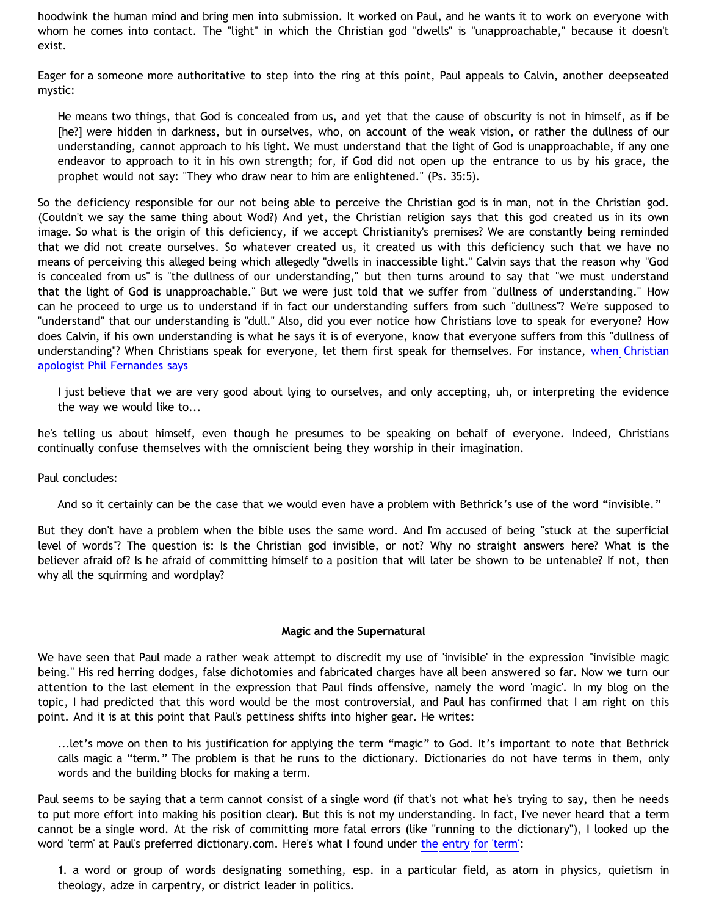hoodwink the human mind and bring men into submission. It worked on Paul, and he wants it to work on everyone with whom he comes into contact. The "light" in which the Christian god "dwells" is "unapproachable," because it doesn't exist.

Eager for a someone more authoritative to step into the ring at this point, Paul appeals to Calvin, another deepseated mystic:

He means two things, that God is concealed from us, and yet that the cause of obscurity is not in himself, as if be [he?] were hidden in darkness, but in ourselves, who, on account of the weak vision, or rather the dullness of our understanding, cannot approach to his light. We must understand that the light of God is unapproachable, if any one endeavor to approach to it in his own strength; for, if God did not open up the entrance to us by his grace, the prophet would not say: "They who draw near to him are enlightened." (Ps. 35:5).

So the deficiency responsible for our not being able to perceive the Christian god is in man, not in the Christian god. (Couldn't we say the same thing about Wod?) And yet, the Christian religion says that this god created us in its own image. So what is the origin of this deficiency, if we accept Christianity's premises? We are constantly being reminded that we did not create ourselves. So whatever created us, it created us with this deficiency such that we have no means of perceiving this alleged being which allegedly "dwells in inaccessible light." Calvin says that the reason why "God is concealed from us" is "the dullness of our understanding," but then turns around to say that "we must understand that the light of God is unapproachable." But we were just told that we suffer from "dullness of understanding." How can he proceed to urge us to understand if in fact our understanding suffers from such "dullness"? We're supposed to "understand" that our understanding is "dull." Also, did you ever notice how Christians love to speak for everyone? How does Calvin, if his own understanding is what he says it is of everyone, know that everyone suffers from this "dullness of understanding"? When Christians speak for everyone, let them first speak for themselves. For instance, [when Christian](http://www.infidels.org/infidels/products/video/lowder-fernandes.html) [apologist Phil Fernandes says](http://www.infidels.org/infidels/products/video/lowder-fernandes.html)

I just believe that we are very good about lying to ourselves, and only accepting, uh, or interpreting the evidence the way we would like to...

he's telling us about himself, even though he presumes to be speaking on behalf of everyone. Indeed, Christians continually confuse themselves with the omniscient being they worship in their imagination.

Paul concludes:

And so it certainly can be the case that we would even have a problem with Bethrick's use of the word "invisible."

But they don't have a problem when the bible uses the same word. And I'm accused of being "stuck at the superficial level of words"? The question is: Is the Christian god invisible, or not? Why no straight answers here? What is the believer afraid of? Is he afraid of committing himself to a position that will later be shown to be untenable? If not, then why all the squirming and wordplay?

#### **Magic and the Supernatural**

We have seen that Paul made a rather weak attempt to discredit my use of 'invisible' in the expression "invisible magic being." His red herring dodges, false dichotomies and fabricated charges have all been answered so far. Now we turn our attention to the last element in the expression that Paul finds offensive, namely the word 'magic'. In my blog on the topic, I had predicted that this word would be the most controversial, and Paul has confirmed that I am right on this point. And it is at this point that Paul's pettiness shifts into higher gear. He writes:

...let's move on then to his justification for applying the term "magic" to God. It's important to note that Bethrick calls magic a "term." The problem is that he runs to the dictionary. Dictionaries do not have terms in them, only words and the building blocks for making a term.

Paul seems to be saying that a term cannot consist of a single word (if that's not what he's trying to say, then he needs to put more effort into making his position clear). But this is not my understanding. In fact, I've never heard that a term cannot be a single word. At the risk of committing more fatal errors (like "running to the dictionary"), I looked up the word 'term' at Paul's preferred dictionary.com. Here's what I found under [the entry for 'term':](http://dictionary.reference.com/browse/term)

1. a word or group of words designating something, esp. in a particular field, as atom in physics, quietism in theology, adze in carpentry, or district leader in politics.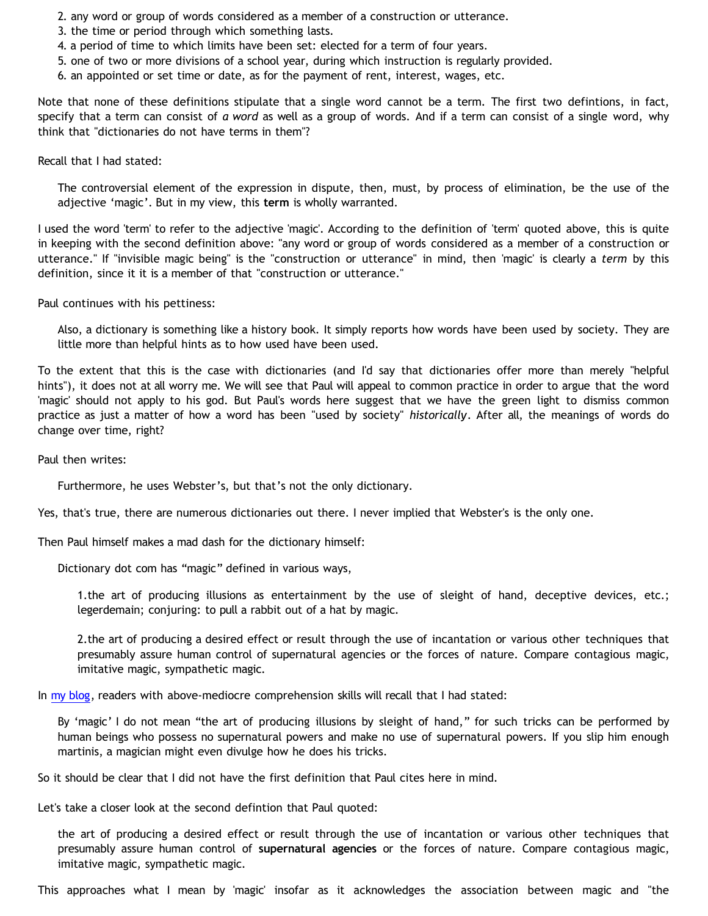- 2. any word or group of words considered as a member of a construction or utterance.
- 3. the time or period through which something lasts.
- 4. a period of time to which limits have been set: elected for a term of four years.
- 5. one of two or more divisions of a school year, during which instruction is regularly provided.
- 6. an appointed or set time or date, as for the payment of rent, interest, wages, etc.

Note that none of these definitions stipulate that a single word cannot be a term. The first two defintions, in fact, specify that a term can consist of *a word* as well as a group of words. And if a term can consist of a single word, why think that "dictionaries do not have terms in them"?

Recall that I had stated:

The controversial element of the expression in dispute, then, must, by process of elimination, be the use of the adjective 'magic'. But in my view, this **term** is wholly warranted.

I used the word 'term' to refer to the adjective 'magic'. According to the definition of 'term' quoted above, this is quite in keeping with the second definition above: "any word or group of words considered as a member of a construction or utterance." If "invisible magic being" is the "construction or utterance" in mind, then 'magic' is clearly a *term* by this definition, since it it is a member of that "construction or utterance."

Paul continues with his pettiness:

Also, a dictionary is something like a history book. It simply reports how words have been used by society. They are little more than helpful hints as to how used have been used.

To the extent that this is the case with dictionaries (and I'd say that dictionaries offer more than merely "helpful hints"), it does not at all worry me. We will see that Paul will appeal to common practice in order to argue that the word 'magic' should not apply to his god. But Paul's words here suggest that we have the green light to dismiss common practice as just a matter of how a word has been "used by society" *historically*. After all, the meanings of words do change over time, right?

Paul then writes:

Furthermore, he uses Webster's, but that's not the only dictionary.

Yes, that's true, there are numerous dictionaries out there. I never implied that Webster's is the only one.

Then Paul himself makes a mad dash for the dictionary himself:

Dictionary dot com has "magic" defined in various ways,

1.the art of producing illusions as entertainment by the use of sleight of hand, deceptive devices, etc.; legerdemain; conjuring: to pull a rabbit out of a hat by magic.

2.the art of producing a desired effect or result through the use of incantation or various other techniques that presumably assure human control of supernatural agencies or the forces of nature. Compare contagious magic, imitative magic, sympathetic magic.

In [my blog](http://bahnsenburner.blogspot.com/2006/10/is-expression-invisible-magic-being.html), readers with above-mediocre comprehension skills will recall that I had stated:

By 'magic' I do not mean "the art of producing illusions by sleight of hand," for such tricks can be performed by human beings who possess no supernatural powers and make no use of supernatural powers. If you slip him enough martinis, a magician might even divulge how he does his tricks.

So it should be clear that I did not have the first definition that Paul cites here in mind.

Let's take a closer look at the second defintion that Paul quoted:

the art of producing a desired effect or result through the use of incantation or various other techniques that presumably assure human control of **supernatural agencies** or the forces of nature. Compare contagious magic, imitative magic, sympathetic magic.

This approaches what I mean by 'magic' insofar as it acknowledges the association between magic and "the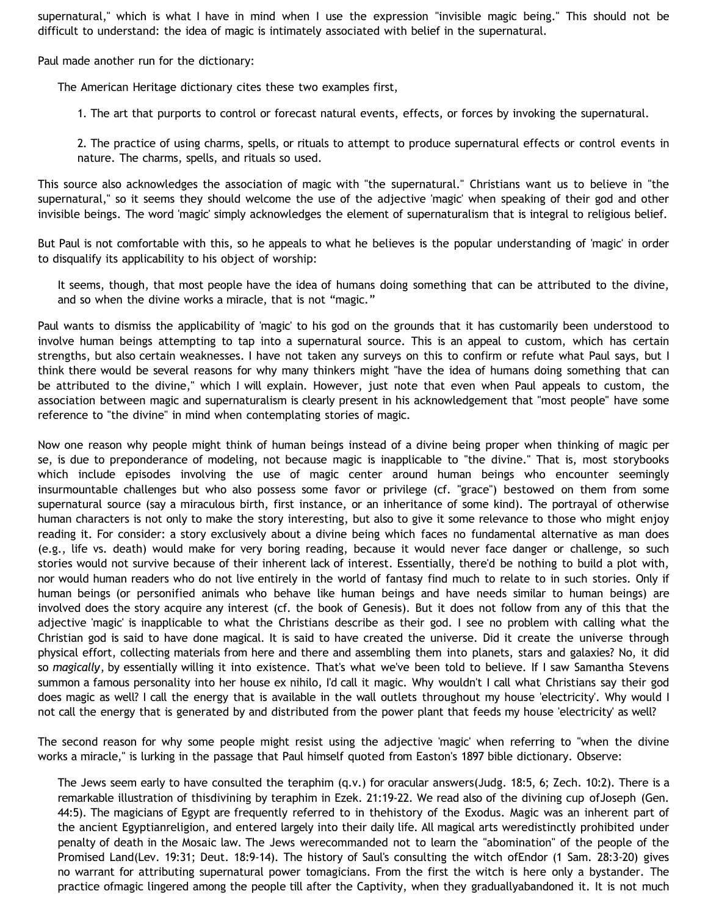supernatural," which is what I have in mind when I use the expression "invisible magic being." This should not be difficult to understand: the idea of magic is intimately associated with belief in the supernatural.

Paul made another run for the dictionary:

The American Heritage dictionary cites these two examples first,

1. The art that purports to control or forecast natural events, effects, or forces by invoking the supernatural.

2. The practice of using charms, spells, or rituals to attempt to produce supernatural effects or control events in nature. The charms, spells, and rituals so used.

This source also acknowledges the association of magic with "the supernatural." Christians want us to believe in "the supernatural," so it seems they should welcome the use of the adjective 'magic' when speaking of their god and other invisible beings. The word 'magic' simply acknowledges the element of supernaturalism that is integral to religious belief.

But Paul is not comfortable with this, so he appeals to what he believes is the popular understanding of 'magic' in order to disqualify its applicability to his object of worship:

It seems, though, that most people have the idea of humans doing something that can be attributed to the divine, and so when the divine works a miracle, that is not "magic."

Paul wants to dismiss the applicability of 'magic' to his god on the grounds that it has customarily been understood to involve human beings attempting to tap into a supernatural source. This is an appeal to custom, which has certain strengths, but also certain weaknesses. I have not taken any surveys on this to confirm or refute what Paul says, but I think there would be several reasons for why many thinkers might "have the idea of humans doing something that can be attributed to the divine," which I will explain. However, just note that even when Paul appeals to custom, the association between magic and supernaturalism is clearly present in his acknowledgement that "most people" have some reference to "the divine" in mind when contemplating stories of magic.

Now one reason why people might think of human beings instead of a divine being proper when thinking of magic per se, is due to preponderance of modeling, not because magic is inapplicable to "the divine." That is, most storybooks which include episodes involving the use of magic center around human beings who encounter seemingly insurmountable challenges but who also possess some favor or privilege (cf. "grace") bestowed on them from some supernatural source (say a miraculous birth, first instance, or an inheritance of some kind). The portrayal of otherwise human characters is not only to make the story interesting, but also to give it some relevance to those who might enjoy reading it. For consider: a story exclusively about a divine being which faces no fundamental alternative as man does (e.g., life vs. death) would make for very boring reading, because it would never face danger or challenge, so such stories would not survive because of their inherent lack of interest. Essentially, there'd be nothing to build a plot with, nor would human readers who do not live entirely in the world of fantasy find much to relate to in such stories. Only if human beings (or personified animals who behave like human beings and have needs similar to human beings) are involved does the story acquire any interest (cf. the book of Genesis). But it does not follow from any of this that the adjective 'magic' is inapplicable to what the Christians describe as their god. I see no problem with calling what the Christian god is said to have done magical. It is said to have created the universe. Did it create the universe through physical effort, collecting materials from here and there and assembling them into planets, stars and galaxies? No, it did so *magically*, by essentially willing it into existence. That's what we've been told to believe. If I saw Samantha Stevens summon a famous personality into her house ex nihilo, I'd call it magic. Why wouldn't I call what Christians say their god does magic as well? I call the energy that is available in the wall outlets throughout my house 'electricity'. Why would I not call the energy that is generated by and distributed from the power plant that feeds my house 'electricity' as well?

The second reason for why some people might resist using the adjective 'magic' when referring to "when the divine works a miracle," is lurking in the passage that Paul himself quoted from Easton's 1897 bible dictionary. Observe:

The Jews seem early to have consulted the teraphim (q.v.) for oracular answers(Judg. 18:5, 6; Zech. 10:2). There is a remarkable illustration of thisdivining by teraphim in Ezek. 21:19-22. We read also of the divining cup ofJoseph (Gen. 44:5). The magicians of Egypt are frequently referred to in thehistory of the Exodus. Magic was an inherent part of the ancient Egyptianreligion, and entered largely into their daily life. All magical arts weredistinctly prohibited under penalty of death in the Mosaic law. The Jews werecommanded not to learn the "abomination" of the people of the Promised Land(Lev. 19:31; Deut. 18:9-14). The history of Saul's consulting the witch ofEndor (1 Sam. 28:3-20) gives no warrant for attributing supernatural power tomagicians. From the first the witch is here only a bystander. The practice ofmagic lingered among the people till after the Captivity, when they graduallyabandoned it. It is not much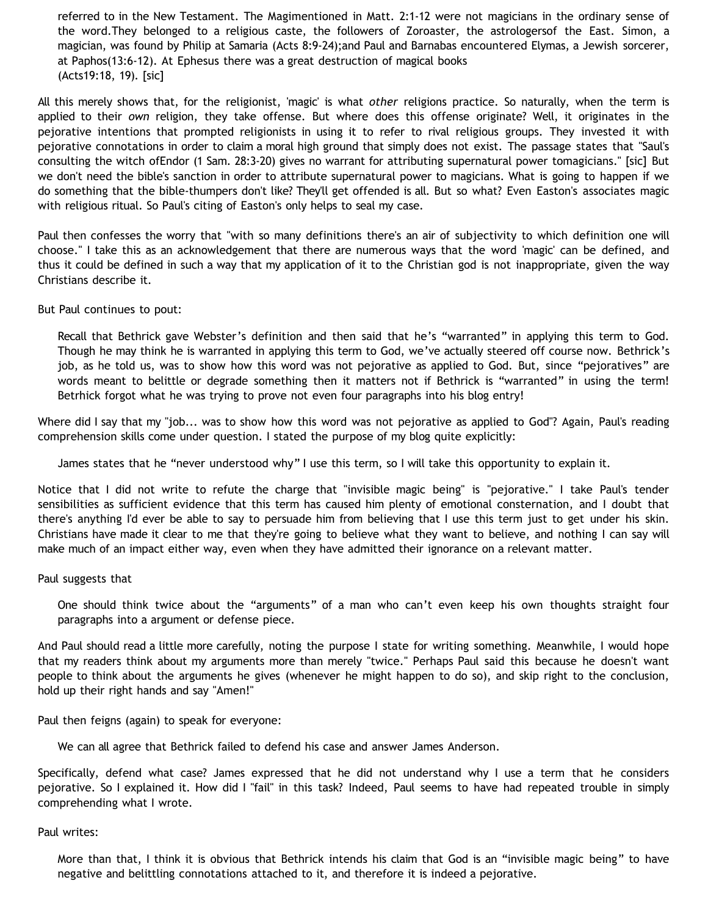referred to in the New Testament. The Magimentioned in Matt. 2:1-12 were not magicians in the ordinary sense of the word.They belonged to a religious caste, the followers of Zoroaster, the astrologersof the East. Simon, a magician, was found by Philip at Samaria (Acts 8:9-24);and Paul and Barnabas encountered Elymas, a Jewish sorcerer, at Paphos(13:6-12). At Ephesus there was a great destruction of magical books (Acts19:18, 19). [sic]

All this merely shows that, for the religionist, 'magic' is what *other* religions practice. So naturally, when the term is applied to their *own* religion, they take offense. But where does this offense originate? Well, it originates in the pejorative intentions that prompted religionists in using it to refer to rival religious groups. They invested it with pejorative connotations in order to claim a moral high ground that simply does not exist. The passage states that "Saul's consulting the witch ofEndor (1 Sam. 28:3-20) gives no warrant for attributing supernatural power tomagicians." [sic] But we don't need the bible's sanction in order to attribute supernatural power to magicians. What is going to happen if we do something that the bible-thumpers don't like? They'll get offended is all. But so what? Even Easton's associates magic with religious ritual. So Paul's citing of Easton's only helps to seal my case.

Paul then confesses the worry that "with so many definitions there's an air of subjectivity to which definition one will choose." I take this as an acknowledgement that there are numerous ways that the word 'magic' can be defined, and thus it could be defined in such a way that my application of it to the Christian god is not inappropriate, given the way Christians describe it.

But Paul continues to pout:

Recall that Bethrick gave Webster's definition and then said that he's "warranted" in applying this term to God. Though he may think he is warranted in applying this term to God, we've actually steered off course now. Bethrick's job, as he told us, was to show how this word was not pejorative as applied to God. But, since "pejoratives" are words meant to belittle or degrade something then it matters not if Bethrick is "warranted" in using the term! Betrhick forgot what he was trying to prove not even four paragraphs into his blog entry!

Where did I say that my "job... was to show how this word was not pejorative as applied to God"? Again, Paul's reading comprehension skills come under question. I stated the purpose of my blog quite explicitly:

James states that he "never understood why" I use this term, so I will take this opportunity to explain it.

Notice that I did not write to refute the charge that "invisible magic being" is "pejorative." I take Paul's tender sensibilities as sufficient evidence that this term has caused him plenty of emotional consternation, and I doubt that there's anything I'd ever be able to say to persuade him from believing that I use this term just to get under his skin. Christians have made it clear to me that they're going to believe what they want to believe, and nothing I can say will make much of an impact either way, even when they have admitted their ignorance on a relevant matter.

### Paul suggests that

One should think twice about the "arguments" of a man who can't even keep his own thoughts straight four paragraphs into a argument or defense piece.

And Paul should read a little more carefully, noting the purpose I state for writing something. Meanwhile, I would hope that my readers think about my arguments more than merely "twice." Perhaps Paul said this because he doesn't want people to think about the arguments he gives (whenever he might happen to do so), and skip right to the conclusion, hold up their right hands and say "Amen!"

Paul then feigns (again) to speak for everyone:

We can all agree that Bethrick failed to defend his case and answer James Anderson.

Specifically, defend what case? James expressed that he did not understand why I use a term that he considers pejorative. So I explained it. How did I "fail" in this task? Indeed, Paul seems to have had repeated trouble in simply comprehending what I wrote.

Paul writes:

More than that, I think it is obvious that Bethrick intends his claim that God is an "invisible magic being" to have negative and belittling connotations attached to it, and therefore it is indeed a pejorative.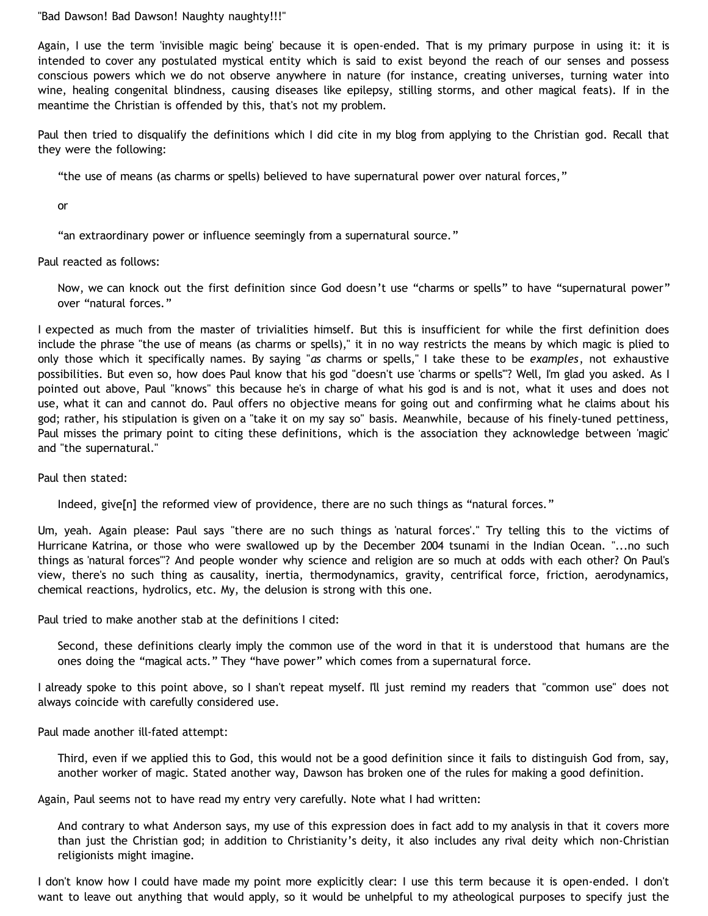"Bad Dawson! Bad Dawson! Naughty naughty!!!"

Again, I use the term 'invisible magic being' because it is open-ended. That is my primary purpose in using it: it is intended to cover any postulated mystical entity which is said to exist beyond the reach of our senses and possess conscious powers which we do not observe anywhere in nature (for instance, creating universes, turning water into wine, healing congenital blindness, causing diseases like epilepsy, stilling storms, and other magical feats). If in the meantime the Christian is offended by this, that's not my problem.

Paul then tried to disqualify the definitions which I did cite in my blog from applying to the Christian god. Recall that they were the following:

"the use of means (as charms or spells) believed to have supernatural power over natural forces,"

or

"an extraordinary power or influence seemingly from a supernatural source."

Paul reacted as follows:

Now, we can knock out the first definition since God doesn't use "charms or spells" to have "supernatural power" over "natural forces."

I expected as much from the master of trivialities himself. But this is insufficient for while the first definition does include the phrase "the use of means (as charms or spells)," it in no way restricts the means by which magic is plied to only those which it specifically names. By saying "*as* charms or spells," I take these to be *examples*, not exhaustive possibilities. But even so, how does Paul know that his god "doesn't use 'charms or spells'"? Well, I'm glad you asked. As I pointed out above, Paul "knows" this because he's in charge of what his god is and is not, what it uses and does not use, what it can and cannot do. Paul offers no objective means for going out and confirming what he claims about his god; rather, his stipulation is given on a "take it on my say so" basis. Meanwhile, because of his finely-tuned pettiness, Paul misses the primary point to citing these definitions, which is the association they acknowledge between 'magic' and "the supernatural."

Paul then stated:

Indeed, give[n] the reformed view of providence, there are no such things as "natural forces."

Um, yeah. Again please: Paul says "there are no such things as 'natural forces'." Try telling this to the victims of Hurricane Katrina, or those who were swallowed up by the December 2004 tsunami in the Indian Ocean. "...no such things as 'natural forces'"? And people wonder why science and religion are so much at odds with each other? On Paul's view, there's no such thing as causality, inertia, thermodynamics, gravity, centrifical force, friction, aerodynamics, chemical reactions, hydrolics, etc. My, the delusion is strong with this one.

Paul tried to make another stab at the definitions I cited:

Second, these definitions clearly imply the common use of the word in that it is understood that humans are the ones doing the "magical acts." They "have power" which comes from a supernatural force.

I already spoke to this point above, so I shan't repeat myself. I'll just remind my readers that "common use" does not always coincide with carefully considered use.

Paul made another ill-fated attempt:

Third, even if we applied this to God, this would not be a good definition since it fails to distinguish God from, say, another worker of magic. Stated another way, Dawson has broken one of the rules for making a good definition.

Again, Paul seems not to have read my entry very carefully. Note what I had written:

And contrary to what Anderson says, my use of this expression does in fact add to my analysis in that it covers more than just the Christian god; in addition to Christianity's deity, it also includes any rival deity which non-Christian religionists might imagine.

I don't know how I could have made my point more explicitly clear: I use this term because it is open-ended. I don't want to leave out anything that would apply, so it would be unhelpful to my atheological purposes to specify just the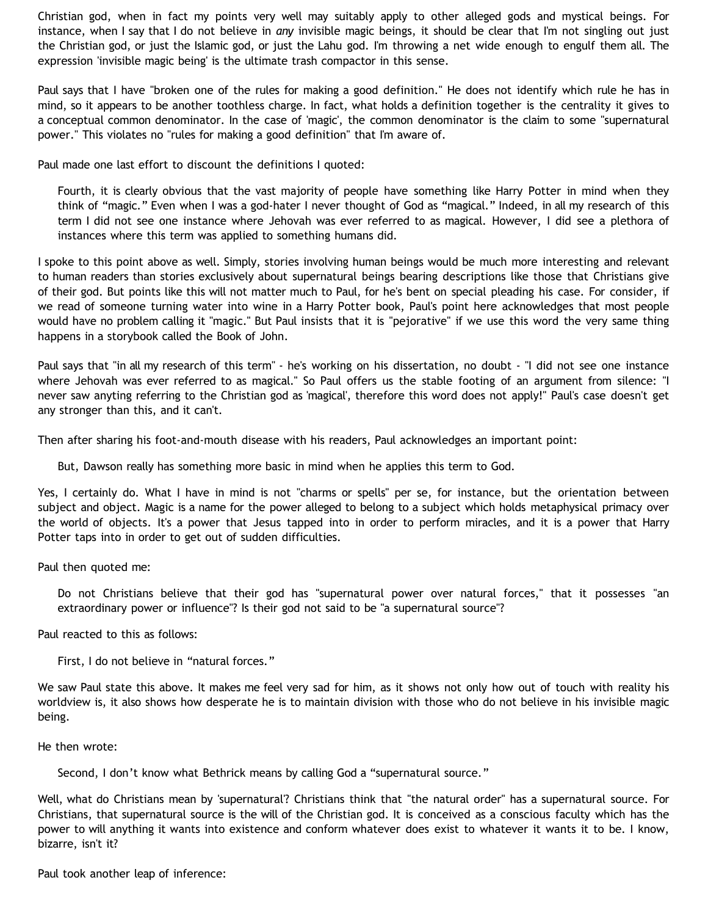Christian god, when in fact my points very well may suitably apply to other alleged gods and mystical beings. For instance, when I say that I do not believe in *any* invisible magic beings, it should be clear that I'm not singling out just the Christian god, or just the Islamic god, or just the Lahu god. I'm throwing a net wide enough to engulf them all. The expression 'invisible magic being' is the ultimate trash compactor in this sense.

Paul says that I have "broken one of the rules for making a good definition." He does not identify which rule he has in mind, so it appears to be another toothless charge. In fact, what holds a definition together is the centrality it gives to a conceptual common denominator. In the case of 'magic', the common denominator is the claim to some "supernatural power." This violates no "rules for making a good definition" that I'm aware of.

Paul made one last effort to discount the definitions I quoted:

Fourth, it is clearly obvious that the vast majority of people have something like Harry Potter in mind when they think of "magic." Even when I was a god-hater I never thought of God as "magical." Indeed, in all my research of this term I did not see one instance where Jehovah was ever referred to as magical. However, I did see a plethora of instances where this term was applied to something humans did.

I spoke to this point above as well. Simply, stories involving human beings would be much more interesting and relevant to human readers than stories exclusively about supernatural beings bearing descriptions like those that Christians give of their god. But points like this will not matter much to Paul, for he's bent on special pleading his case. For consider, if we read of someone turning water into wine in a Harry Potter book, Paul's point here acknowledges that most people would have no problem calling it "magic." But Paul insists that it is "pejorative" if we use this word the very same thing happens in a storybook called the Book of John.

Paul says that "in all my research of this term" - he's working on his dissertation, no doubt - "I did not see one instance where Jehovah was ever referred to as magical." So Paul offers us the stable footing of an argument from silence: "I never saw anyting referring to the Christian god as 'magical', therefore this word does not apply!" Paul's case doesn't get any stronger than this, and it can't.

Then after sharing his foot-and-mouth disease with his readers, Paul acknowledges an important point:

But, Dawson really has something more basic in mind when he applies this term to God.

Yes, I certainly do. What I have in mind is not "charms or spells" per se, for instance, but the orientation between subject and object. Magic is a name for the power alleged to belong to a subject which holds metaphysical primacy over the world of objects. It's a power that Jesus tapped into in order to perform miracles, and it is a power that Harry Potter taps into in order to get out of sudden difficulties.

Paul then quoted me:

Do not Christians believe that their god has "supernatural power over natural forces," that it possesses "an extraordinary power or influence"? Is their god not said to be "a supernatural source"?

Paul reacted to this as follows:

First, I do not believe in "natural forces."

We saw Paul state this above. It makes me feel very sad for him, as it shows not only how out of touch with reality his worldview is, it also shows how desperate he is to maintain division with those who do not believe in his invisible magic being.

He then wrote:

Second, I don't know what Bethrick means by calling God a "supernatural source."

Well, what do Christians mean by 'supernatural'? Christians think that "the natural order" has a supernatural source. For Christians, that supernatural source is the will of the Christian god. It is conceived as a conscious faculty which has the power to will anything it wants into existence and conform whatever does exist to whatever it wants it to be. I know, bizarre, isn't it?

Paul took another leap of inference: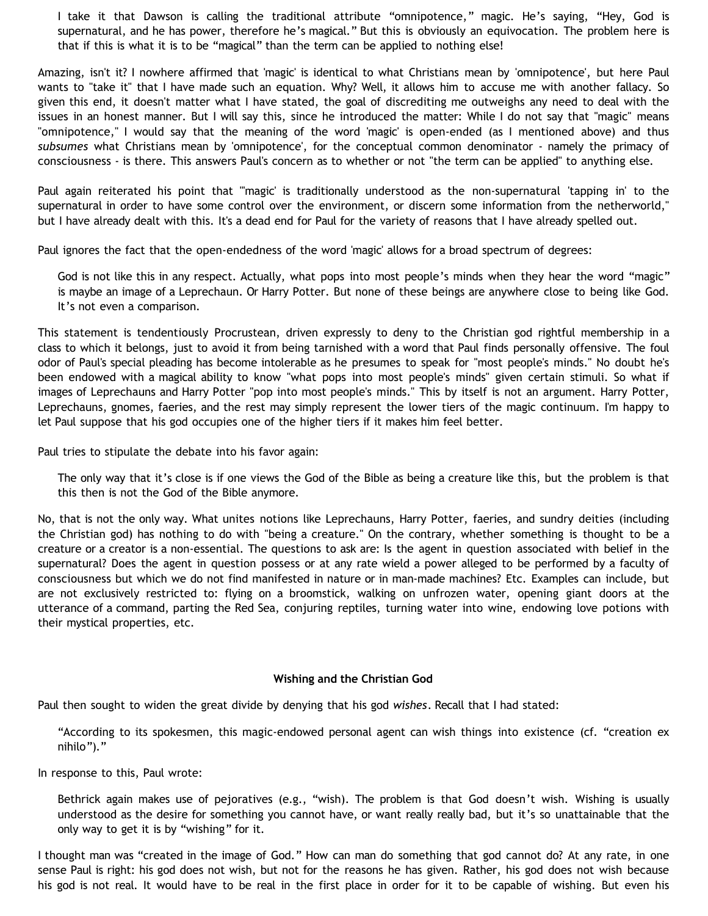I take it that Dawson is calling the traditional attribute "omnipotence," magic. He's saying, "Hey, God is supernatural, and he has power, therefore he's magical." But this is obviously an equivocation. The problem here is that if this is what it is to be "magical" than the term can be applied to nothing else!

Amazing, isn't it? I nowhere affirmed that 'magic' is identical to what Christians mean by 'omnipotence', but here Paul wants to "take it" that I have made such an equation. Why? Well, it allows him to accuse me with another fallacy. So given this end, it doesn't matter what I have stated, the goal of discrediting me outweighs any need to deal with the issues in an honest manner. But I will say this, since he introduced the matter: While I do not say that "magic" means "omnipotence," I would say that the meaning of the word 'magic' is open-ended (as I mentioned above) and thus *subsumes* what Christians mean by 'omnipotence', for the conceptual common denominator - namely the primacy of consciousness - is there. This answers Paul's concern as to whether or not "the term can be applied" to anything else.

Paul again reiterated his point that "'magic' is traditionally understood as the non-supernatural 'tapping in' to the supernatural in order to have some control over the environment, or discern some information from the netherworld," but I have already dealt with this. It's a dead end for Paul for the variety of reasons that I have already spelled out.

Paul ignores the fact that the open-endedness of the word 'magic' allows for a broad spectrum of degrees:

God is not like this in any respect. Actually, what pops into most people's minds when they hear the word "magic" is maybe an image of a Leprechaun. Or Harry Potter. But none of these beings are anywhere close to being like God. It's not even a comparison.

This statement is tendentiously Procrustean, driven expressly to deny to the Christian god rightful membership in a class to which it belongs, just to avoid it from being tarnished with a word that Paul finds personally offensive. The foul odor of Paul's special pleading has become intolerable as he presumes to speak for "most people's minds." No doubt he's been endowed with a magical ability to know "what pops into most people's minds" given certain stimuli. So what if images of Leprechauns and Harry Potter "pop into most people's minds." This by itself is not an argument. Harry Potter, Leprechauns, gnomes, faeries, and the rest may simply represent the lower tiers of the magic continuum. I'm happy to let Paul suppose that his god occupies one of the higher tiers if it makes him feel better.

Paul tries to stipulate the debate into his favor again:

The only way that it's close is if one views the God of the Bible as being a creature like this, but the problem is that this then is not the God of the Bible anymore.

No, that is not the only way. What unites notions like Leprechauns, Harry Potter, faeries, and sundry deities (including the Christian god) has nothing to do with "being a creature." On the contrary, whether something is thought to be a creature or a creator is a non-essential. The questions to ask are: Is the agent in question associated with belief in the supernatural? Does the agent in question possess or at any rate wield a power alleged to be performed by a faculty of consciousness but which we do not find manifested in nature or in man-made machines? Etc. Examples can include, but are not exclusively restricted to: flying on a broomstick, walking on unfrozen water, opening giant doors at the utterance of a command, parting the Red Sea, conjuring reptiles, turning water into wine, endowing love potions with their mystical properties, etc.

#### **Wishing and the Christian God**

Paul then sought to widen the great divide by denying that his god *wishes*. Recall that I had stated:

"According to its spokesmen, this magic-endowed personal agent can wish things into existence (cf. "creation ex nihilo")."

In response to this, Paul wrote:

Bethrick again makes use of pejoratives (e.g., "wish). The problem is that God doesn't wish. Wishing is usually understood as the desire for something you cannot have, or want really really bad, but it's so unattainable that the only way to get it is by "wishing" for it.

I thought man was "created in the image of God." How can man do something that god cannot do? At any rate, in one sense Paul is right: his god does not wish, but not for the reasons he has given. Rather, his god does not wish because his god is not real. It would have to be real in the first place in order for it to be capable of wishing. But even his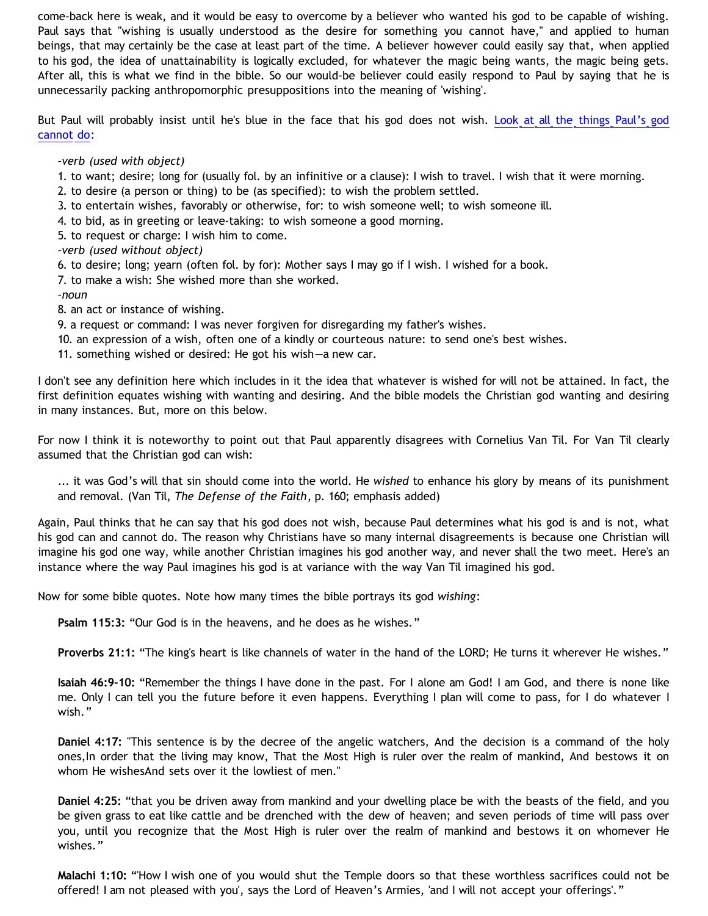come-back here is weak, and it would be easy to overcome by a believer who wanted his god to be capable of wishing. Paul says that "wishing is usually understood as the desire for something you cannot have," and applied to human beings, that may certainly be the case at least part of the time. A believer however could easily say that, when applied to his god, the idea of unattainability is logically excluded, for whatever the magic being wants, the magic being gets. After all, this is what we find in the bible. So our would-be believer could easily respond to Paul by saying that he is unnecessarily packing anthropomorphic presuppositions into the meaning of 'wishing'.

But Paul will probably insist until he's blue in the face that his god does not wish. [Look at all the things Paul's god](http://dictionary.reference.com/browse/wish) [cannot do](http://dictionary.reference.com/browse/wish):

*–verb (used with object)*

- 1. to want; desire; long for (usually fol. by an infinitive or a clause): I wish to travel. I wish that it were morning.
- 2. to desire (a person or thing) to be (as specified): to wish the problem settled.
- 3. to entertain wishes, favorably or otherwise, for: to wish someone well; to wish someone ill.
- 4. to bid, as in greeting or leave-taking: to wish someone a good morning.
- 5. to request or charge: I wish him to come.
- *–verb (used without object)*
- 6. to desire; long; yearn (often fol. by for): Mother says I may go if I wish. I wished for a book.
- 7. to make a wish: She wished more than she worked.
- *–noun*
- 8. an act or instance of wishing.
- 9. a request or command: I was never forgiven for disregarding my father's wishes.
- 10. an expression of a wish, often one of a kindly or courteous nature: to send one's best wishes.
- 11. something wished or desired: He got his wish—a new car.

I don't see any definition here which includes in it the idea that whatever is wished for will not be attained. In fact, the first definition equates wishing with wanting and desiring. And the bible models the Christian god wanting and desiring in many instances. But, more on this below.

For now I think it is noteworthy to point out that Paul apparently disagrees with Cornelius Van Til. For Van Til clearly assumed that the Christian god can wish:

... it was God's will that sin should come into the world. He *wished* to enhance his glory by means of its punishment and removal. (Van Til, *The Defense of the Faith*, p. 160; emphasis added)

Again, Paul thinks that he can say that his god does not wish, because Paul determines what his god is and is not, what his god can and cannot do. The reason why Christians have so many internal disagreements is because one Christian will imagine his god one way, while another Christian imagines his god another way, and never shall the two meet. Here's an instance where the way Paul imagines his god is at variance with the way Van Til imagined his god.

Now for some bible quotes. Note how many times the bible portrays its god *wishing*:

**Psalm 115:3:** "Our God is in the heavens, and he does as he wishes."

**Proverbs 21:1:** "The king's heart is like channels of water in the hand of the LORD; He turns it wherever He wishes."

**Isaiah 46:9-10:** "Remember the things I have done in the past. For I alone am God! I am God, and there is none like me. Only I can tell you the future before it even happens. Everything I plan will come to pass, for I do whatever I wish."

**Daniel 4:17:** "This sentence is by the decree of the angelic watchers, And the decision is a command of the holy ones,In order that the living may know, That the Most High is ruler over the realm of mankind, And bestows it on whom He wishesAnd sets over it the lowliest of men."

**Daniel 4:25:** "that you be driven away from mankind and your dwelling place be with the beasts of the field, and you be given grass to eat like cattle and be drenched with the dew of heaven; and seven periods of time will pass over you, until you recognize that the Most High is ruler over the realm of mankind and bestows it on whomever He wishes."

**Malachi 1:10:** "'How I wish one of you would shut the Temple doors so that these worthless sacrifices could not be offered! I am not pleased with you', says the Lord of Heaven's Armies, 'and I will not accept your offerings'."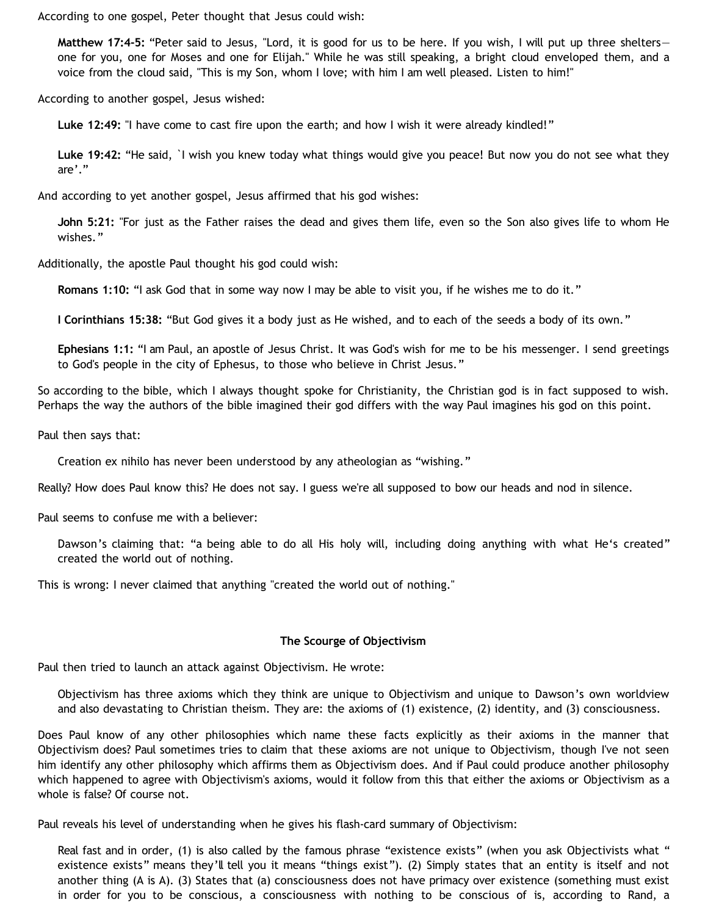According to one gospel, Peter thought that Jesus could wish:

**Matthew 17:4-5:** "Peter said to Jesus, "Lord, it is good for us to be here. If you wish, I will put up three shelters one for you, one for Moses and one for Elijah." While he was still speaking, a bright cloud enveloped them, and a voice from the cloud said, "This is my Son, whom I love; with him I am well pleased. Listen to him!"

According to another gospel, Jesus wished:

**Luke 12:49:** "I have come to cast fire upon the earth; and how I wish it were already kindled!"

**Luke 19:42:** "He said, `I wish you knew today what things would give you peace! But now you do not see what they are'."

And according to yet another gospel, Jesus affirmed that his god wishes:

**John 5:21:** "For just as the Father raises the dead and gives them life, even so the Son also gives life to whom He wishes."

Additionally, the apostle Paul thought his god could wish:

**Romans 1:10:** "I ask God that in some way now I may be able to visit you, if he wishes me to do it."

**I Corinthians 15:38:** "But God gives it a body just as He wished, and to each of the seeds a body of its own."

**Ephesians 1:1:** "I am Paul, an apostle of Jesus Christ. It was God's wish for me to be his messenger. I send greetings to God's people in the city of Ephesus, to those who believe in Christ Jesus."

So according to the bible, which I always thought spoke for Christianity, the Christian god is in fact supposed to wish. Perhaps the way the authors of the bible imagined their god differs with the way Paul imagines his god on this point.

Paul then says that:

Creation ex nihilo has never been understood by any atheologian as "wishing."

Really? How does Paul know this? He does not say. I guess we're all supposed to bow our heads and nod in silence.

Paul seems to confuse me with a believer:

Dawson's claiming that: "a being able to do all His holy will, including doing anything with what He's created" created the world out of nothing.

This is wrong: I never claimed that anything "created the world out of nothing."

#### **The Scourge of Objectivism**

Paul then tried to launch an attack against Objectivism. He wrote:

Objectivism has three axioms which they think are unique to Objectivism and unique to Dawson's own worldview and also devastating to Christian theism. They are: the axioms of (1) existence, (2) identity, and (3) consciousness.

Does Paul know of any other philosophies which name these facts explicitly as their axioms in the manner that Objectivism does? Paul sometimes tries to claim that these axioms are not unique to Objectivism, though I've not seen him identify any other philosophy which affirms them as Objectivism does. And if Paul could produce another philosophy which happened to agree with Objectivism's axioms, would it follow from this that either the axioms or Objectivism as a whole is false? Of course not.

Paul reveals his level of understanding when he gives his flash-card summary of Objectivism:

Real fast and in order, (1) is also called by the famous phrase "existence exists" (when you ask Objectivists what " existence exists" means they'll tell you it means "things exist"). (2) Simply states that an entity is itself and not another thing (A is A). (3) States that (a) consciousness does not have primacy over existence (something must exist in order for you to be conscious, a consciousness with nothing to be conscious of is, according to Rand, a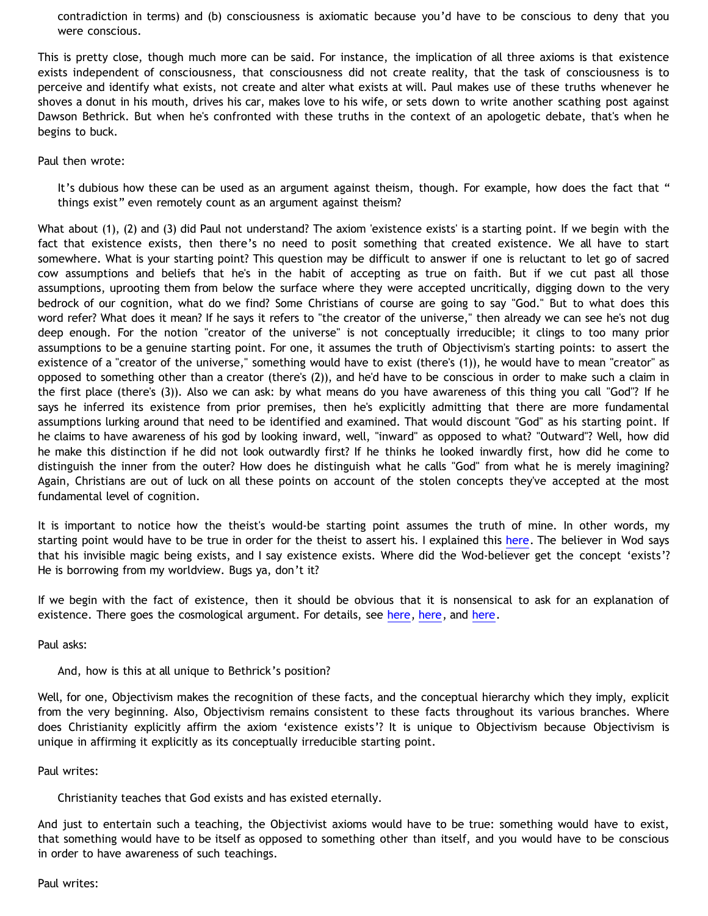contradiction in terms) and (b) consciousness is axiomatic because you'd have to be conscious to deny that you were conscious.

This is pretty close, though much more can be said. For instance, the implication of all three axioms is that existence exists independent of consciousness, that consciousness did not create reality, that the task of consciousness is to perceive and identify what exists, not create and alter what exists at will. Paul makes use of these truths whenever he shoves a donut in his mouth, drives his car, makes love to his wife, or sets down to write another scathing post against Dawson Bethrick. But when he's confronted with these truths in the context of an apologetic debate, that's when he begins to buck.

Paul then wrote:

It's dubious how these can be used as an argument against theism, though. For example, how does the fact that " things exist" even remotely count as an argument against theism?

What about (1), (2) and (3) did Paul not understand? The axiom 'existence exists' is a starting point. If we begin with the fact that existence exists, then there's no need to posit something that created existence. We all have to start somewhere. What is your starting point? This question may be difficult to answer if one is reluctant to let go of sacred cow assumptions and beliefs that he's in the habit of accepting as true on faith. But if we cut past all those assumptions, uprooting them from below the surface where they were accepted uncritically, digging down to the very bedrock of our cognition, what do we find? Some Christians of course are going to say "God." But to what does this word refer? What does it mean? If he says it refers to "the creator of the universe," then already we can see he's not dug deep enough. For the notion "creator of the universe" is not conceptually irreducible; it clings to too many prior assumptions to be a genuine starting point. For one, it assumes the truth of Objectivism's starting points: to assert the existence of a "creator of the universe," something would have to exist (there's (1)), he would have to mean "creator" as opposed to something other than a creator (there's (2)), and he'd have to be conscious in order to make such a claim in the first place (there's (3)). Also we can ask: by what means do you have awareness of this thing you call "God"? If he says he inferred its existence from prior premises, then he's explicitly admitting that there are more fundamental assumptions lurking around that need to be identified and examined. That would discount "God" as his starting point. If he claims to have awareness of his god by looking inward, well, "inward" as opposed to what? "Outward"? Well, how did he make this distinction if he did not look outwardly first? If he thinks he looked inwardly first, how did he come to distinguish the inner from the outer? How does he distinguish what he calls "God" from what he is merely imagining? Again, Christians are out of luck on all these points on account of the stolen concepts they've accepted at the most fundamental level of cognition.

It is important to notice how the theist's would-be starting point assumes the truth of mine. In other words, my starting point would have to be true in order for the theist to assert his. I explained this [here](http://bahnsenburner.blogspot.com/2006/07/theism-and-its-piggyback-starting.html). The believer in Wod says that his invisible magic being exists, and I say existence exists. Where did the Wod-believer get the concept 'exists'? He is borrowing from my worldview. Bugs ya, don't it?

If we begin with the fact of existence, then it should be obvious that it is nonsensical to ask for an explanation of existence. There goes the cosmological argument. For details, see [here,](http://bahnsenburner.blogspot.com/2006/05/basic-contra-theism.html) [here,](http://bahnsenburner.blogspot.com/2006/03/responding-to-pavielle.html) and [here](http://www.geocities.com/katholon/DBvPM1005.htm).

Paul asks:

And, how is this at all unique to Bethrick's position?

Well, for one, Objectivism makes the recognition of these facts, and the conceptual hierarchy which they imply, explicit from the very beginning. Also, Objectivism remains consistent to these facts throughout its various branches. Where does Christianity explicitly affirm the axiom 'existence exists'? It is unique to Objectivism because Objectivism is unique in affirming it explicitly as its conceptually irreducible starting point.

Paul writes:

Christianity teaches that God exists and has existed eternally.

And just to entertain such a teaching, the Objectivist axioms would have to be true: something would have to exist, that something would have to be itself as opposed to something other than itself, and you would have to be conscious in order to have awareness of such teachings.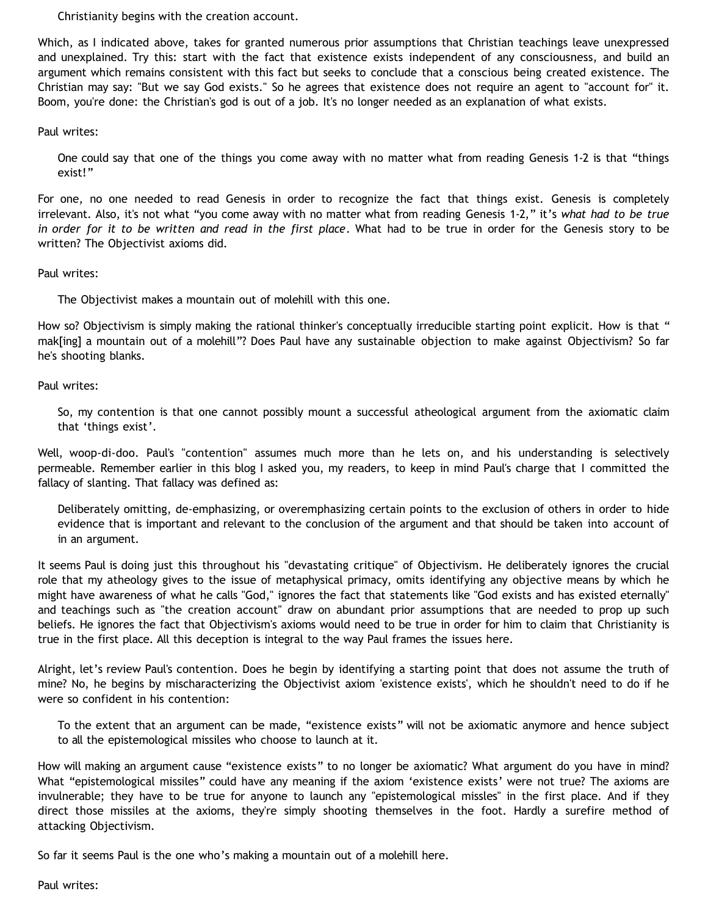Christianity begins with the creation account.

Which, as I indicated above, takes for granted numerous prior assumptions that Christian teachings leave unexpressed and unexplained. Try this: start with the fact that existence exists independent of any consciousness, and build an argument which remains consistent with this fact but seeks to conclude that a conscious being created existence. The Christian may say: "But we say God exists." So he agrees that existence does not require an agent to "account for" it. Boom, you're done: the Christian's god is out of a job. It's no longer needed as an explanation of what exists.

Paul writes:

One could say that one of the things you come away with no matter what from reading Genesis 1-2 is that "things exist!"

For one, no one needed to read Genesis in order to recognize the fact that things exist. Genesis is completely irrelevant. Also, it's not what "you come away with no matter what from reading Genesis 1-2," it's *what had to be true in order for it to be written and read in the first place*. What had to be true in order for the Genesis story to be written? The Objectivist axioms did.

Paul writes:

The Objectivist makes a mountain out of molehill with this one.

How so? Objectivism is simply making the rational thinker's conceptually irreducible starting point explicit. How is that " mak[ing] a mountain out of a molehill"? Does Paul have any sustainable objection to make against Objectivism? So far he's shooting blanks.

Paul writes:

So, my contention is that one cannot possibly mount a successful atheological argument from the axiomatic claim that 'things exist'.

Well, woop-di-doo. Paul's "contention" assumes much more than he lets on, and his understanding is selectively permeable. Remember earlier in this blog I asked you, my readers, to keep in mind Paul's charge that I committed the fallacy of slanting. That fallacy was defined as:

Deliberately omitting, de-emphasizing, or overemphasizing certain points to the exclusion of others in order to hide evidence that is important and relevant to the conclusion of the argument and that should be taken into account of in an argument.

It seems Paul is doing just this throughout his "devastating critique" of Objectivism. He deliberately ignores the crucial role that my atheology gives to the issue of metaphysical primacy, omits identifying any objective means by which he might have awareness of what he calls "God," ignores the fact that statements like "God exists and has existed eternally" and teachings such as "the creation account" draw on abundant prior assumptions that are needed to prop up such beliefs. He ignores the fact that Objectivism's axioms would need to be true in order for him to claim that Christianity is true in the first place. All this deception is integral to the way Paul frames the issues here.

Alright, let's review Paul's contention. Does he begin by identifying a starting point that does not assume the truth of mine? No, he begins by mischaracterizing the Objectivist axiom 'existence exists', which he shouldn't need to do if he were so confident in his contention:

To the extent that an argument can be made, "existence exists" will not be axiomatic anymore and hence subject to all the epistemological missiles who choose to launch at it.

How will making an argument cause "existence exists" to no longer be axiomatic? What argument do you have in mind? What "epistemological missiles" could have any meaning if the axiom 'existence exists' were not true? The axioms are invulnerable; they have to be true for anyone to launch any "epistemological missles" in the first place. And if they direct those missiles at the axioms, they're simply shooting themselves in the foot. Hardly a surefire method of attacking Objectivism.

So far it seems Paul is the one who's making a mountain out of a molehill here.

Paul writes: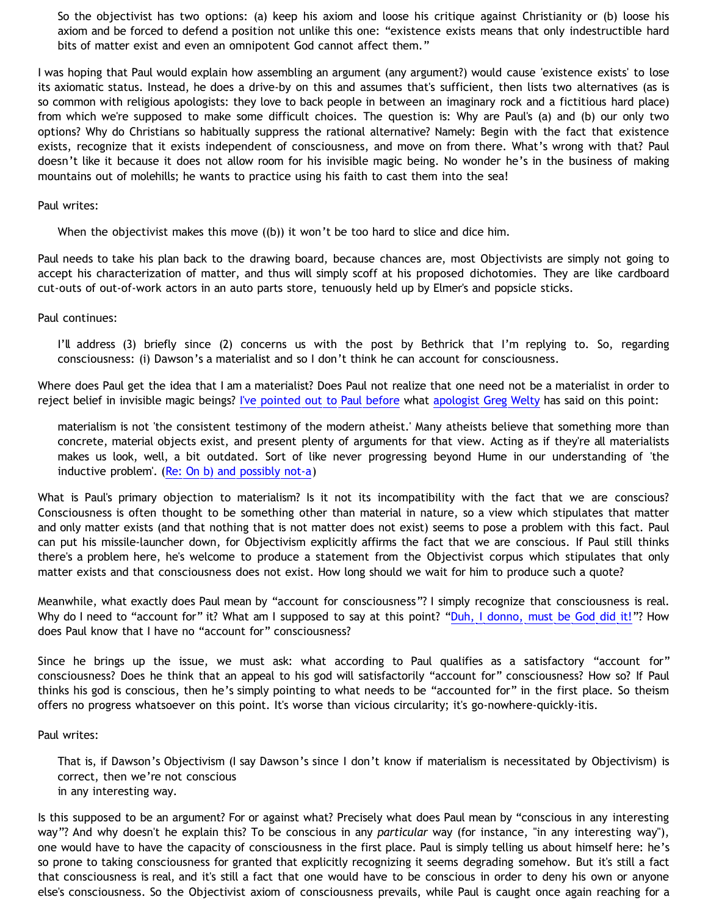So the objectivist has two options: (a) keep his axiom and loose his critique against Christianity or (b) loose his axiom and be forced to defend a position not unlike this one: "existence exists means that only indestructible hard bits of matter exist and even an omnipotent God cannot affect them."

I was hoping that Paul would explain how assembling an argument (any argument?) would cause 'existence exists' to lose its axiomatic status. Instead, he does a drive-by on this and assumes that's sufficient, then lists two alternatives (as is so common with religious apologists: they love to back people in between an imaginary rock and a fictitious hard place) from which we're supposed to make some difficult choices. The question is: Why are Paul's (a) and (b) our only two options? Why do Christians so habitually suppress the rational alternative? Namely: Begin with the fact that existence exists, recognize that it exists independent of consciousness, and move on from there. What's wrong with that? Paul doesn't like it because it does not allow room for his invisible magic being. No wonder he's in the business of making mountains out of molehills; he wants to practice using his faith to cast them into the sea!

### Paul writes:

When the objectivist makes this move ((b)) it won't be too hard to slice and dice him.

Paul needs to take his plan back to the drawing board, because chances are, most Objectivists are simply not going to accept his characterization of matter, and thus will simply scoff at his proposed dichotomies. They are like cardboard cut-outs of out-of-work actors in an auto parts store, tenuously held up by Elmer's and popsicle sticks.

### Paul continues:

I'll address (3) briefly since (2) concerns us with the post by Bethrick that I'm replying to. So, regarding consciousness: (i) Dawson's a materialist and so I don't think he can account for consciousness.

Where does Paul get the idea that I am a materialist? Does Paul not realize that one need not be a materialist in order to reject belief in invisible magic beings? [I've pointed out to Paul before](http://bahnsenburner.blogspot.com/2006/03/will-real-tag-please-stand-up.html) what [apologist Greg Welty](http://www.swbts.edu/faculty/gwelty/) has said on this point:

materialism is not 'the consistent testimony of the modern atheist.' Many atheists believe that something more than concrete, material objects exist, and present plenty of arguments for that view. Acting as if they're all materialists makes us look, well, a bit outdated. Sort of like never progressing beyond Hume in our understanding of 'the inductive problem'. [\(Re: On b\) and possibly not-a](http://www.ccir.ed.ac.uk/~jad/vantil-list/archive-Sep-1999/msg00021.html))

What is Paul's primary objection to materialism? Is it not its incompatibility with the fact that we are conscious? Consciousness is often thought to be something other than material in nature, so a view which stipulates that matter and only matter exists (and that nothing that is not matter does not exist) seems to pose a problem with this fact. Paul can put his missile-launcher down, for Objectivism explicitly affirms the fact that we are conscious. If Paul still thinks there's a problem here, he's welcome to produce a statement from the Objectivist corpus which stipulates that only matter exists and that consciousness does not exist. How long should we wait for him to produce such a quote?

Meanwhile, what exactly does Paul mean by "account for consciousness"? I simply recognize that consciousness is real. Why do I need to "account for" it? What am I supposed to say at this point? ["Duh, I donno, must be God did it!](http://www.geocities.com/katholon/duh15.wav)"? How does Paul know that I have no "account for" consciousness?

Since he brings up the issue, we must ask: what according to Paul qualifies as a satisfactory "account for" consciousness? Does he think that an appeal to his god will satisfactorily "account for" consciousness? How so? If Paul thinks his god is conscious, then he's simply pointing to what needs to be "accounted for" in the first place. So theism offers no progress whatsoever on this point. It's worse than vicious circularity; it's go-nowhere-quickly-itis.

### Paul writes:

That is, if Dawson's Objectivism (I say Dawson's since I don't know if materialism is necessitated by Objectivism) is correct, then we're not conscious in any interesting way.

Is this supposed to be an argument? For or against what? Precisely what does Paul mean by "conscious in any interesting way"? And why doesn't he explain this? To be conscious in any *particular* way (for instance, "in any interesting way"), one would have to have the capacity of consciousness in the first place. Paul is simply telling us about himself here: he's so prone to taking consciousness for granted that explicitly recognizing it seems degrading somehow. But it's still a fact that consciousness is real, and it's still a fact that one would have to be conscious in order to deny his own or anyone else's consciousness. So the Objectivist axiom of consciousness prevails, while Paul is caught once again reaching for a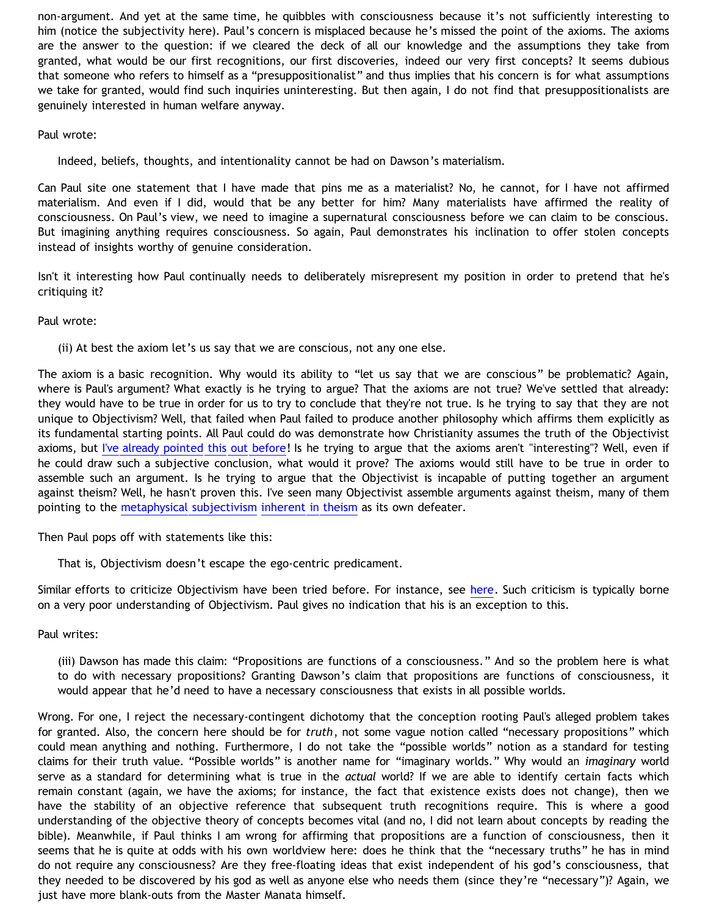non-argument. And yet at the same time, he quibbles with consciousness because it's not sufficiently interesting to him (notice the subjectivity here). Paul's concern is misplaced because he's missed the point of the axioms. The axioms are the answer to the question: if we cleared the deck of all our knowledge and the assumptions they take from granted, what would be our first recognitions, our first discoveries, indeed our very first concepts? It seems dubious that someone who refers to himself as a "presuppositionalist" and thus implies that his concern is for what assumptions we take for granted, would find such inquiries uninteresting. But then again, I do not find that presuppositionalists are genuinely interested in human welfare anyway.

### Paul wrote:

Indeed, beliefs, thoughts, and intentionality cannot be had on Dawson's materialism.

Can Paul site one statement that I have made that pins me as a materialist? No, he cannot, for I have not affirmed materialism. And even if I did, would that be any better for him? Many materialists have affirmed the reality of consciousness. On Paul's view, we need to imagine a supernatural consciousness before we can claim to be conscious. But imagining anything requires consciousness. So again, Paul demonstrates his inclination to offer stolen concepts instead of insights worthy of genuine consideration.

Isn't it interesting how Paul continually needs to deliberately misrepresent my position in order to pretend that he's critiquing it?

Paul wrote:

(ii) At best the axiom let's us say that we are conscious, not any one else.

The axiom is a basic recognition. Why would its ability to "let us say that we are conscious" be problematic? Again, where is Paul's argument? What exactly is he trying to argue? That the axioms are not true? We've settled that already: they would have to be true in order for us to try to conclude that they're not true. Is he trying to say that they are not unique to Objectivism? Well, that failed when Paul failed to produce another philosophy which affirms them explicitly as its fundamental starting points. All Paul could do was demonstrate how Christianity assumes the truth of the Objectivist axioms, but [I've already pointed this out before](http://bahnsenburner.blogspot.com/2006/07/theism-and-its-piggyback-starting.html)! Is he trying to argue that the axioms aren't "interesting"? Well, even if he could draw such a subjective conclusion, what would it prove? The axioms would still have to be true in order to assemble such an argument. Is he trying to argue that the Objectivist is incapable of putting together an argument against theism? Well, he hasn't proven this. I've seen many Objectivist assemble arguments against theism, many of them pointing to the [metaphysical subjectivism](http://bahnsenburner.blogspot.com/2006/07/metaphysical-subjectivism-and.html) [inherent in theism](http://bahnsenburner.blogspot.com/2006/07/metaphysical-subjectivism-and_06.html) as its own defeater.

Then Paul pops off with statements like this:

That is, Objectivism doesn't escape the ego-centric predicament.

Similar efforts to criticize Objectivism have been tried before. For instance, see [here.](http://www.geocities.com/katholon/Contra_Pike.pdf) Such criticism is typically borne on a very poor understanding of Objectivism. Paul gives no indication that his is an exception to this.

Paul writes:

(iii) Dawson has made this claim: "Propositions are functions of a consciousness." And so the problem here is what to do with necessary propositions? Granting Dawson's claim that propositions are functions of consciousness, it would appear that he'd need to have a necessary consciousness that exists in all possible worlds.

Wrong. For one, I reject the necessary-contingent dichotomy that the conception rooting Paul's alleged problem takes for granted. Also, the concern here should be for *truth*, not some vague notion called "necessary propositions" which could mean anything and nothing. Furthermore, I do not take the "possible worlds" notion as a standard for testing claims for their truth value. "Possible worlds" is another name for "imaginary worlds." Why would an *imaginary* world serve as a standard for determining what is true in the *actual* world? If we are able to identify certain facts which remain constant (again, we have the axioms; for instance, the fact that existence exists does not change), then we have the stability of an objective reference that subsequent truth recognitions require. This is where a good understanding of the objective theory of concepts becomes vital (and no, I did not learn about concepts by reading the bible). Meanwhile, if Paul thinks I am wrong for affirming that propositions are a function of consciousness, then it seems that he is quite at odds with his own worldview here: does he think that the "necessary truths" he has in mind do not require any consciousness? Are they free-floating ideas that exist independent of his god's consciousness, that they needed to be discovered by his god as well as anyone else who needs them (since they're "necessary")? Again, we just have more blank-outs from the Master Manata himself.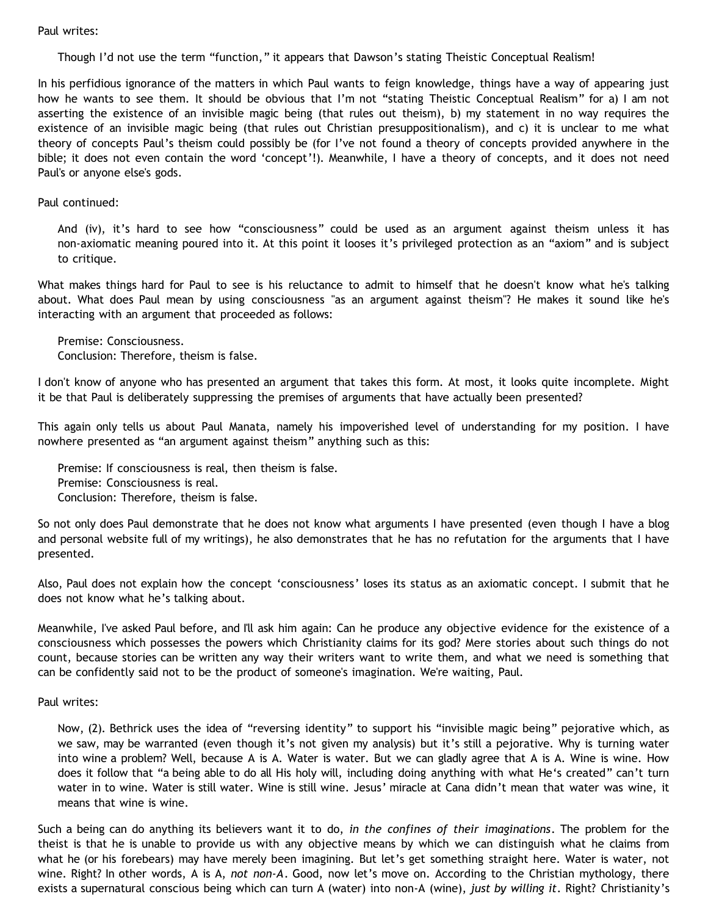### Paul writes:

Though I'd not use the term "function," it appears that Dawson's stating Theistic Conceptual Realism!

In his perfidious ignorance of the matters in which Paul wants to feign knowledge, things have a way of appearing just how he wants to see them. It should be obvious that I'm not "stating Theistic Conceptual Realism" for a) I am not asserting the existence of an invisible magic being (that rules out theism), b) my statement in no way requires the existence of an invisible magic being (that rules out Christian presuppositionalism), and c) it is unclear to me what theory of concepts Paul's theism could possibly be (for I've not found a theory of concepts provided anywhere in the bible; it does not even contain the word 'concept'!). Meanwhile, I have a theory of concepts, and it does not need Paul's or anyone else's gods.

### Paul continued:

And (iv), it's hard to see how "consciousness" could be used as an argument against theism unless it has non-axiomatic meaning poured into it. At this point it looses it's privileged protection as an "axiom" and is subject to critique.

What makes things hard for Paul to see is his reluctance to admit to himself that he doesn't know what he's talking about. What does Paul mean by using consciousness "as an argument against theism"? He makes it sound like he's interacting with an argument that proceeded as follows:

Premise: Consciousness. Conclusion: Therefore, theism is false.

I don't know of anyone who has presented an argument that takes this form. At most, it looks quite incomplete. Might it be that Paul is deliberately suppressing the premises of arguments that have actually been presented?

This again only tells us about Paul Manata, namely his impoverished level of understanding for my position. I have nowhere presented as "an argument against theism" anything such as this:

Premise: If consciousness is real, then theism is false. Premise: Consciousness is real. Conclusion: Therefore, theism is false.

So not only does Paul demonstrate that he does not know what arguments I have presented (even though I have a blog and personal website full of my writings), he also demonstrates that he has no refutation for the arguments that I have presented.

Also, Paul does not explain how the concept 'consciousness' loses its status as an axiomatic concept. I submit that he does not know what he's talking about.

Meanwhile, I've asked Paul before, and I'll ask him again: Can he produce any objective evidence for the existence of a consciousness which possesses the powers which Christianity claims for its god? Mere stories about such things do not count, because stories can be written any way their writers want to write them, and what we need is something that can be confidently said not to be the product of someone's imagination. We're waiting, Paul.

#### Paul writes:

Now, (2). Bethrick uses the idea of "reversing identity" to support his "invisible magic being" pejorative which, as we saw, may be warranted (even though it's not given my analysis) but it's still a pejorative. Why is turning water into wine a problem? Well, because A is A. Water is water. But we can gladly agree that A is A. Wine is wine. How does it follow that "a being able to do all His holy will, including doing anything with what He's created" can't turn water in to wine. Water is still water. Wine is still wine. Jesus' miracle at Cana didn't mean that water was wine, it means that wine is wine.

Such a being can do anything its believers want it to do, *in the confines of their imaginations*. The problem for the theist is that he is unable to provide us with any objective means by which we can distinguish what he claims from what he (or his forebears) may have merely been imagining. But let's get something straight here. Water is water, not wine. Right? In other words, A is A, *not non-A*. Good, now let's move on. According to the Christian mythology, there exists a supernatural conscious being which can turn A (water) into non-A (wine), *just by willing it*. Right? Christianity's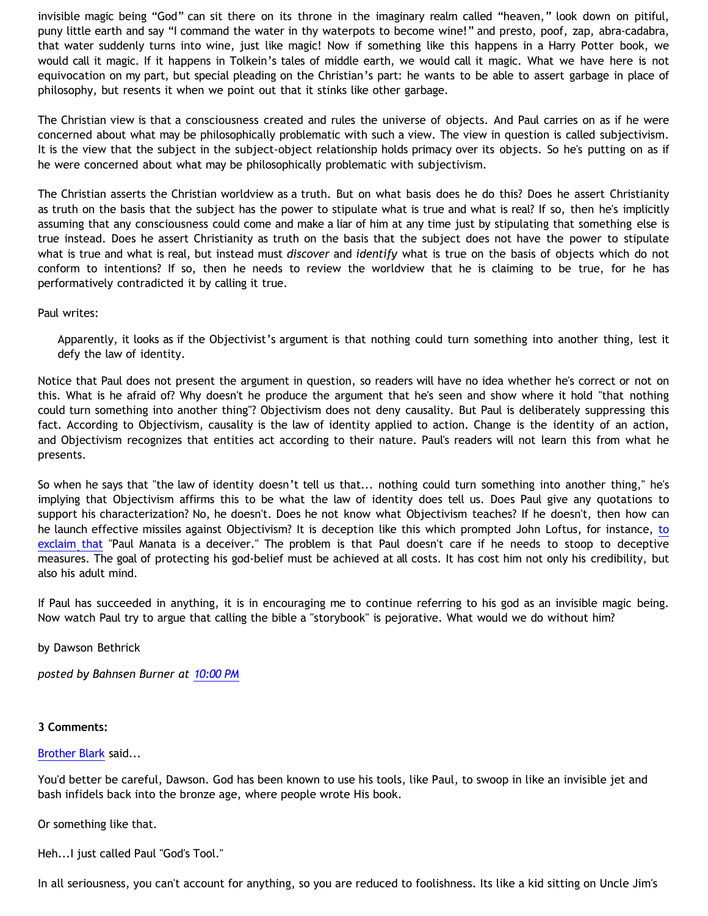invisible magic being "God" can sit there on its throne in the imaginary realm called "heaven," look down on pitiful, puny little earth and say "I command the water in thy waterpots to become wine!" and presto, poof, zap, abra-cadabra, that water suddenly turns into wine, just like magic! Now if something like this happens in a Harry Potter book, we would call it magic. If it happens in Tolkein's tales of middle earth, we would call it magic. What we have here is not equivocation on my part, but special pleading on the Christian's part: he wants to be able to assert garbage in place of philosophy, but resents it when we point out that it stinks like other garbage.

The Christian view is that a consciousness created and rules the universe of objects. And Paul carries on as if he were concerned about what may be philosophically problematic with such a view. The view in question is called subjectivism. It is the view that the subject in the subject-object relationship holds primacy over its objects. So he's putting on as if he were concerned about what may be philosophically problematic with subjectivism.

The Christian asserts the Christian worldview as a truth. But on what basis does he do this? Does he assert Christianity as truth on the basis that the subject has the power to stipulate what is true and what is real? If so, then he's implicitly assuming that any consciousness could come and make a liar of him at any time just by stipulating that something else is true instead. Does he assert Christianity as truth on the basis that the subject does not have the power to stipulate what is true and what is real, but instead must *discover* and *identify* what is true on the basis of objects which do not conform to intentions? If so, then he needs to review the worldview that he is claiming to be true, for he has performatively contradicted it by calling it true.

Paul writes:

Apparently, it looks as if the Objectivist's argument is that nothing could turn something into another thing, lest it defy the law of identity.

Notice that Paul does not present the argument in question, so readers will have no idea whether he's correct or not on this. What is he afraid of? Why doesn't he produce the argument that he's seen and show where it hold "that nothing could turn something into another thing"? Objectivism does not deny causality. But Paul is deliberately suppressing this fact. According to Objectivism, causality is the law of identity applied to action. Change is the identity of an action, and Objectivism recognizes that entities act according to their nature. Paul's readers will not learn this from what he presents.

So when he says that "the law of identity doesn't tell us that... nothing could turn something into another thing," he's implying that Objectivism affirms this to be what the law of identity does tell us. Does Paul give any quotations to support his characterization? No, he doesn't. Does he not know what Objectivism teaches? If he doesn't, then how can he launch effective missiles against Objectivism? It is deception like this which prompted John Loftus, for instance, [to](http://triablogue.blogspot.com/2006/10/event-16.html) [exclaim that](http://triablogue.blogspot.com/2006/10/event-16.html) "Paul Manata is a deceiver." The problem is that Paul doesn't care if he needs to stoop to deceptive measures. The goal of protecting his god-belief must be achieved at all costs. It has cost him not only his credibility, but also his adult mind.

If Paul has succeeded in anything, it is in encouraging me to continue referring to his god as an invisible magic being. Now watch Paul try to argue that calling the bible a "storybook" is pejorative. What would we do without him?

by Dawson Bethrick

*posted by Bahnsen Burner at [10:00 PM](http://bahnsenburner.blogspot.com/2006/10/those-delicate-christian-sensibilities.html)*

### **3 Comments:**

### [Brother Blark](http://www.blogger.com/profile/29482551) said...

You'd better be careful, Dawson. God has been known to use his tools, like Paul, to swoop in like an invisible jet and bash infidels back into the bronze age, where people wrote His book.

Or something like that.

Heh...I just called Paul "God's Tool."

In all seriousness, you can't account for anything, so you are reduced to foolishness. Its like a kid sitting on Uncle Jim's